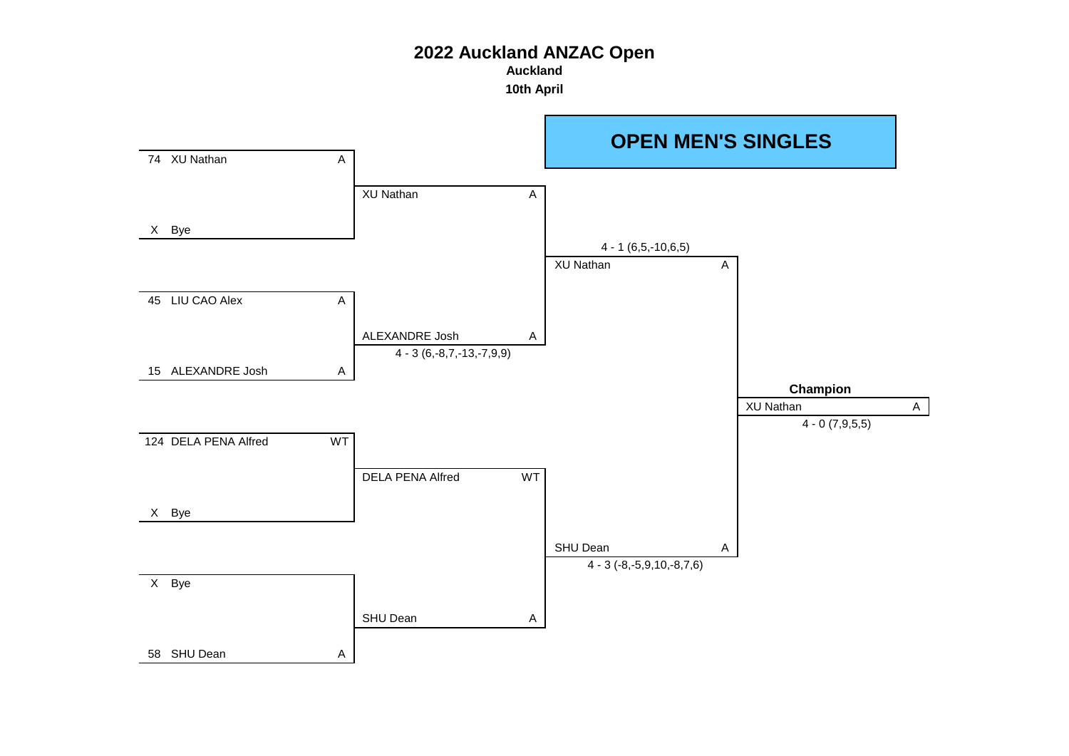**Auckland**

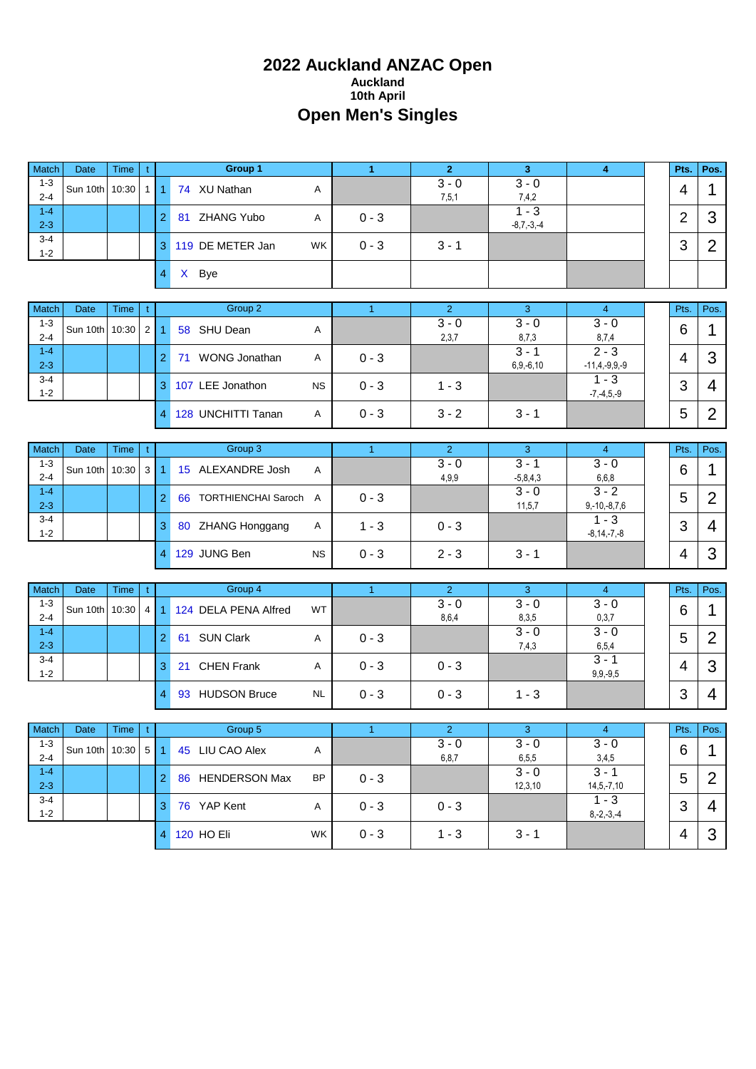# **2022 Auckland ANZAC Open Auckland 10th April Open Men's Singles**

| Match              | Date                        | <b>Time</b> | $\mathfrak{t}$ |                      | Group 1                    |           | $\blacktriangleleft$ | $\overline{2}$            | 3 <sup>2</sup>            | 4                                       | Pts.           | Pos.           |
|--------------------|-----------------------------|-------------|----------------|----------------------|----------------------------|-----------|----------------------|---------------------------|---------------------------|-----------------------------------------|----------------|----------------|
| $1 - 3$<br>$2 - 4$ | Sun 10th 10:30              |             | 1 <sup>1</sup> | $\blacktriangleleft$ | 74 XU Nathan               | Α         |                      | $3 - 0$<br>7,5,1          | $3 - 0$<br>7,4,2          |                                         | 4              | $\mathbf{1}$   |
| $1 - 4$<br>$2 - 3$ |                             |             |                | 2                    | 81 ZHANG Yubo              | Α         | $0 - 3$              |                           | $1 - 3$<br>$-8,7,-3,-4$   |                                         | $\overline{2}$ | 3              |
| $3 - 4$<br>$1 - 2$ |                             |             |                | 3                    | 119 DE METER Jan           | WK        | $0 - 3$              | $3 - 1$                   |                           |                                         | 3              | $\overline{2}$ |
|                    |                             |             |                | $\overline{4}$       | X Bye                      |           |                      |                           |                           |                                         |                |                |
|                    |                             |             |                |                      |                            |           |                      |                           |                           |                                         |                |                |
| Match<br>$1 - 3$   | Date                        | <b>Time</b> | t              |                      | Group 2                    |           | $\mathbf{1}$         | 2 <sup>1</sup><br>$3 - 0$ | 3<br>$3 - 0$              | 4 <sup>1</sup><br>$3 - 0$               | Pts.           | Pos.           |
| $2 - 4$            | Sun 10th                    | 10:30       | $2 \mid$       | 1                    | 58 SHU Dean                | Α         |                      | 2,3,7                     | 8,7,3                     | 8,7,4                                   | 6              | 1              |
| $1 - 4$<br>$2 - 3$ |                             |             |                | $\overline{2}$       | 71 WONG Jonathan           | Α         | $0 - 3$              |                           | $3 - 1$<br>$6, 9, -6, 10$ | $\overline{2-3}$<br>$-11, 4, -9, 9, -9$ | $\overline{4}$ | 3              |
| $3 - 4$<br>$1 - 2$ |                             |             |                | 3                    | 107 LEE Jonathon           | <b>NS</b> | $0 - 3$              | $1 - 3$                   |                           | $1 - 3$<br>$-7, -4, 5, -9$              | 3              | 4              |
|                    |                             |             |                | $\overline{4}$       | 128 UNCHITTI Tanan         | Α         | $0 - 3$              | $3 - 2$                   | $3 - 1$                   |                                         | 5              | $\overline{2}$ |
|                    |                             |             |                |                      |                            |           |                      |                           |                           |                                         |                |                |
| Match              | Date                        | Time        | t              |                      | Group 3                    |           | $\overline{1}$       | $\overline{2}$<br>$3 - 0$ | 3<br>$3 - 1$              | $\overline{4}$<br>$3 - 0$               | Pts.           | Pos.           |
| $1 - 3$<br>$2 - 4$ | Sun 10th 10:30              |             | 3 <sup>1</sup> | $\overline{1}$       | 15 ALEXANDRE Josh          | A         |                      | 4,9,9                     | $-5,8,4,3$                | 6,6,8                                   | 6              | 1              |
| $1 - 4$<br>$2 - 3$ |                             |             |                | $\overline{2}$       | 66 TORTHIENCHAI Saroch A   |           | $0 - 3$              |                           | $3 - 0$<br>11, 5, 7       | $3 - 2$<br>$9,-10,-8,7,6$               | 5              | $\overline{2}$ |
| $3 - 4$<br>$1 - 2$ |                             |             |                | 3                    | 80 ZHANG Honggang          | Α         | $1 - 3$              | $0 - 3$                   |                           | $1 - 3$<br>$-8, 14, -7, -8$             | 3              | $\overline{4}$ |
|                    |                             |             |                | $\overline{4}$       | 129 JUNG Ben               | <b>NS</b> | $0 - 3$              | $2 - 3$                   | $3 - 1$                   |                                         | 4              | 3              |
|                    |                             |             |                |                      |                            |           |                      |                           |                           |                                         |                |                |
| Match              | Date                        | Time        | t              |                      | Group 4                    |           | $\overline{1}$       | $\overline{2}$<br>$3 - 0$ | 3<br>$3 - 0$              | $\overline{4}$<br>$3 - 0$               | Pts.           | Pos.           |
| $1 - 3$<br>$2 - 4$ | Sun 10th 10:30              |             | $\overline{4}$ | 1                    | 124 DELA PENA Alfred       | WT        |                      | 8,6,4                     | 8,3,5                     | 0,3,7                                   | 6              | 1              |
| $1 - 4$<br>$2 - 3$ |                             |             |                | $\overline{2}$       | 61 SUN Clark               | A         | $0 - 3$              |                           | $3 - 0$<br>7,4,3          | $3 - 0$<br>6,5,4                        | 5              | $\overline{2}$ |
| $3 - 4$<br>$1 - 2$ |                             |             |                | 3                    | 21 CHEN Frank              | Α         | $0 - 3$              | $0 - 3$                   |                           | $3 - 1$<br>$9, 9, -9, 5$                | $\overline{4}$ | 3              |
|                    |                             |             |                | 4                    | 93 HUDSON Bruce            | <b>NL</b> | $0 - 3$              | $0 - 3$                   | $1 - 3$                   |                                         | 3              | $\overline{4}$ |
|                    |                             |             |                |                      |                            |           |                      |                           |                           |                                         |                |                |
| Match              | Date $\vert$ Time $\vert$ t |             |                |                      | <b>Calculation Group 5</b> |           |                      | 2                         | $-3$                      | $\sim$ 4                                | Pts.           | Pos.           |
| $1 - 3$<br>$2 - 4$ | Sun 10th 10:30 5 1          |             |                |                      | 45 LIU CAO Alex            | A         |                      | $3 - 0$<br>6, 8, 7        | $3 - 0$<br>6,5,5          | $3 - 0$<br>3,4,5                        | 6              | $\mathbf 1$    |
| $1 - 4$<br>$2 - 3$ |                             |             |                | 2 <sup>1</sup>       | 86 HENDERSON Max           | <b>BP</b> | $0 - 3$              |                           | $3 - 0$<br>12,3,10        | $3 - 1$<br>$14, 5, -7, 10$              | 5              | $\overline{2}$ |
| $3 - 4$<br>$1 - 2$ |                             |             |                | 3                    | 76 YAP Kent                | A         | $0 - 3$              | $0 - 3$                   |                           | $1 - 3$<br>$8,-2,-3,-4$                 | 3              | 4              |
|                    |                             |             |                | 4                    | 120 HO Eli                 | WK        | $0 - 3$              | $1 - 3$                   | $3 - 1$                   |                                         | 4              | 3              |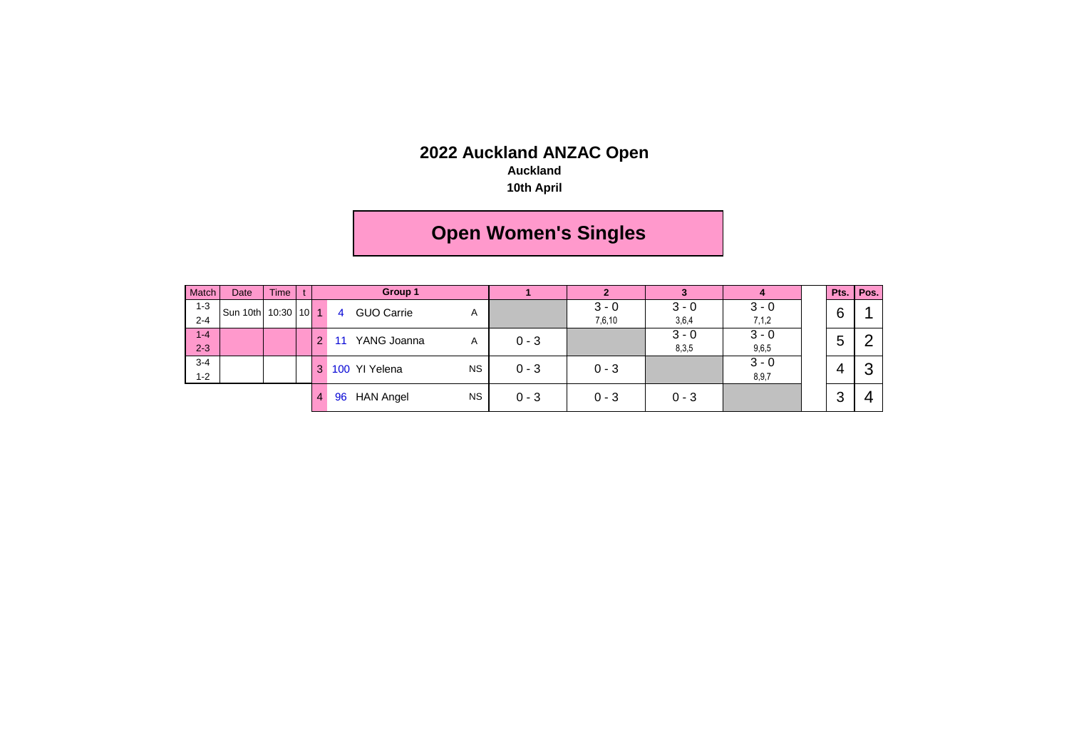#### **Auckland**

**10th April**

# **Open Women's Singles**

| Match   | Date     | <b>Time</b>  |   |                | Group 1           |           |         |         |         | 4       |   | Pts. Pos. |
|---------|----------|--------------|---|----------------|-------------------|-----------|---------|---------|---------|---------|---|-----------|
| $1 - 3$ | Sun 10th | $10:30$ 10 1 |   | $\overline{4}$ | <b>GUO Carrie</b> | A         |         | $3 - 0$ | $3 - 0$ | $3 - 0$ | 6 |           |
| $2 - 4$ |          |              |   |                |                   |           |         | 7,6,10  | 3,6,4   | 7,1,2   |   |           |
| $1 - 4$ |          |              | ົ |                | YANG Joanna       | A         | $0 - 3$ |         | $3 - 0$ | $3 - 0$ | 5 | ⌒         |
| $2 - 3$ |          |              |   |                |                   |           |         |         | 8,3,5   | 9,6,5   |   |           |
| $3 - 4$ |          |              | 3 |                | 100 YI Yelena     | <b>NS</b> | $0 - 3$ | $0 - 3$ |         | $3 - 0$ | 4 | ◠         |
| $1 - 2$ |          |              |   |                |                   |           |         |         |         | 8,9,7   |   |           |
|         |          |              | 4 | 96             | <b>HAN Angel</b>  | <b>NS</b> | $0 - 3$ | $0 - 3$ | $0 - 3$ |         | 3 |           |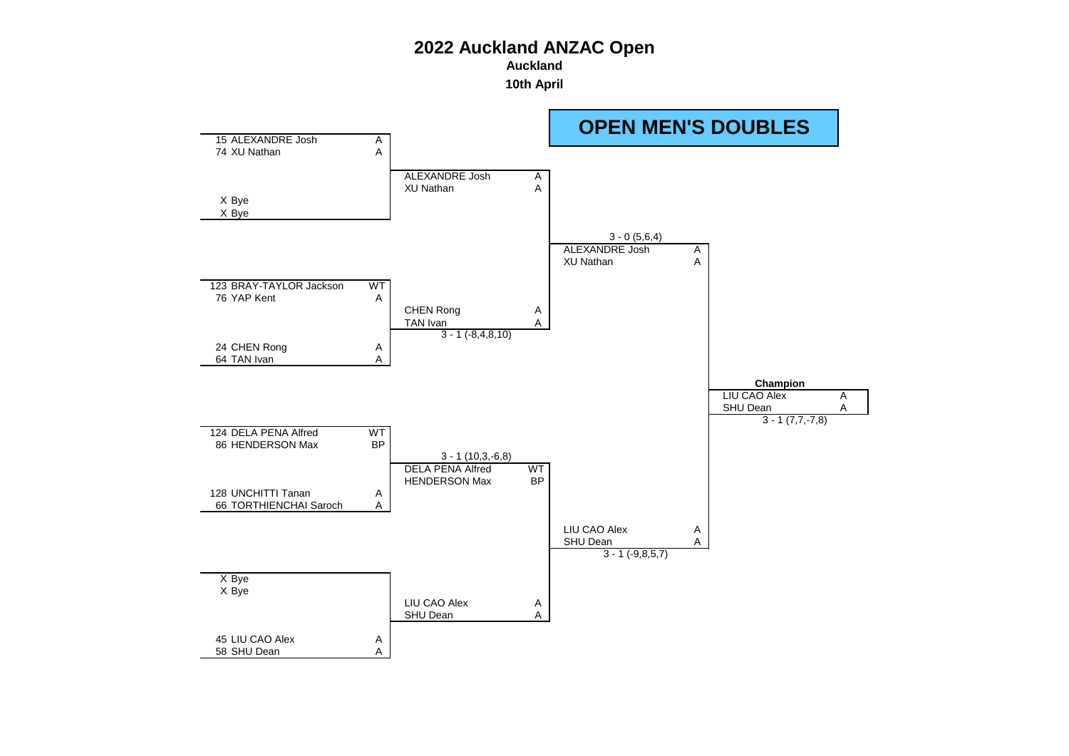**Auckland**

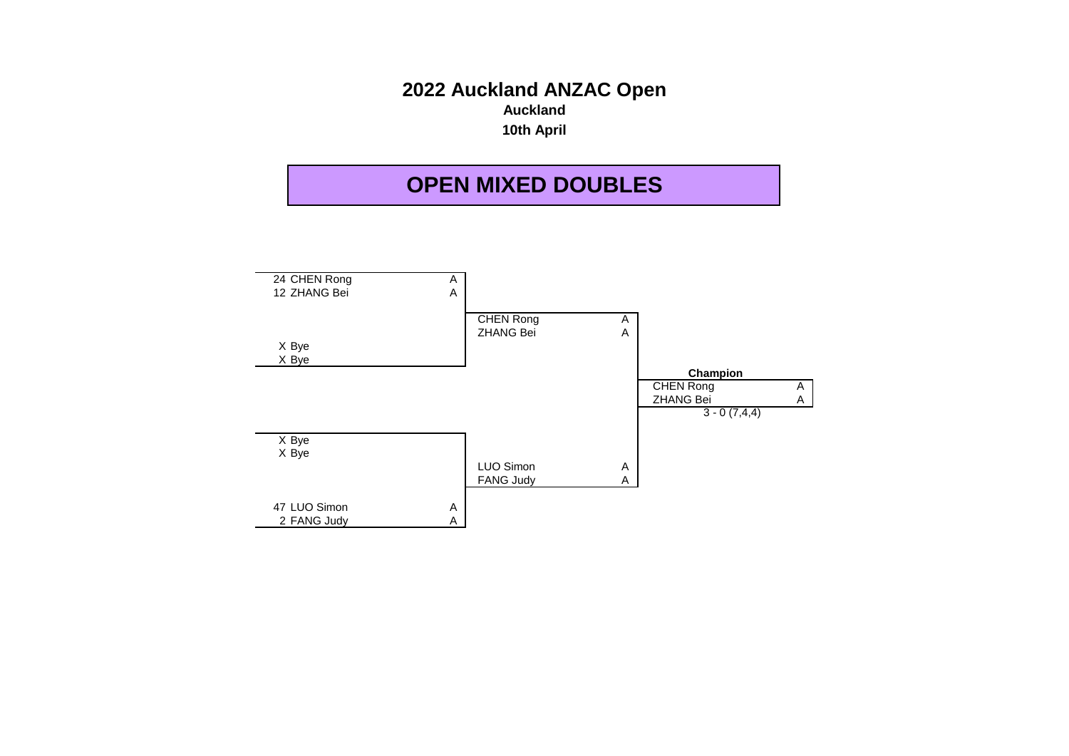# **2022 Auckland ANZAC Open Auckland 10th April**

# **OPEN MIXED DOUBLES**

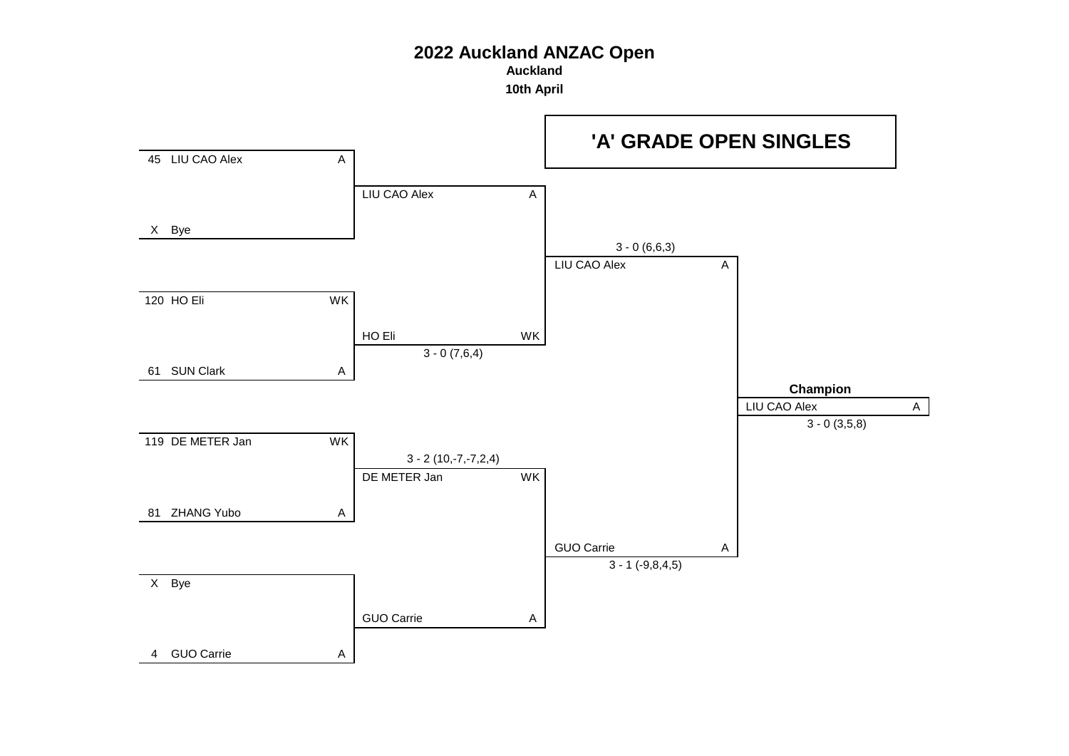**Auckland**

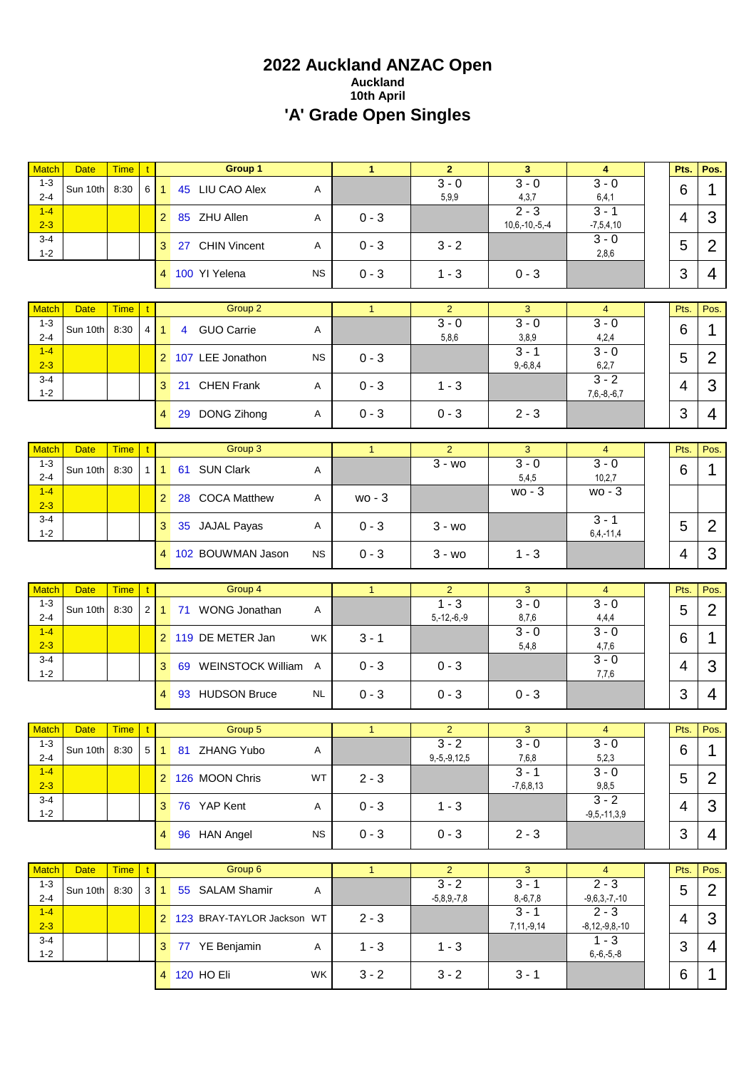# **2022 Auckland ANZAC Open Auckland 10th April 'A' Grade Open Singles**

| <b>Match</b>            | <b>Date</b>             | <b>Time</b>         | $\mathbf{t}$   |                 | Group 1                      |              | $\mathbf{1}$ | $\overline{2}$            | 3                                    | $\overline{4}$                  | Pts.      | Pos.           |
|-------------------------|-------------------------|---------------------|----------------|-----------------|------------------------------|--------------|--------------|---------------------------|--------------------------------------|---------------------------------|-----------|----------------|
| $1 - 3$<br>$2 - 4$      | Sun 10th                | 8:30                |                | $6 \mid 1$      | 45 LIU CAO Alex              | Α            |              | $3 - 0$<br>5,9,9          | $3 - 0$<br>4,3,7                     | $3 - 0$<br>6, 4, 1              | 6         | $\mathbf 1$    |
| $1-4$<br>$2 - 3$        |                         |                     |                | 2 <sup>1</sup>  | 85 ZHU Allen                 | Α            | $0 - 3$      |                           | $\overline{2-3}$<br>$10,6,-10,-5,-4$ | $3 - 1$<br>$-7,5,4,10$          | 4         | 3              |
| $3 - 4$<br>$1 - 2$      |                         |                     |                | 3 <sup>1</sup>  | 27 CHIN Vincent              | Α            | $0 - 3$      | $3 - 2$                   |                                      | $3 - 0$<br>2,8,6                | 5         | $\overline{2}$ |
|                         |                         |                     |                |                 | 4 100 YI Yelena              | <b>NS</b>    | $0 - 3$      | $1 - 3$                   | $0 - 3$                              |                                 | 3         | 4              |
| <b>Match</b>            | <b>Date</b>             |                     |                |                 | Group 2                      |              |              | $\overline{2}$            | 3                                    |                                 |           |                |
| $1 - 3$                 |                         | <b>Time</b>         |                |                 |                              |              | $\mathbf{1}$ | $3 - 0$                   | $3 - 0$                              | $\overline{4}$<br>$3 - 0$       | Pts.      | Pos.           |
| $2 - 4$<br>$1 - 4$      | Sun 10th                | 8:30                | 4 <sup>1</sup> | 1 <sup>1</sup>  | 4 GUO Carrie                 | Α            |              | 5,8,6                     | 3,8,9<br>$3 - 1$                     | 4,2,4<br>$3 - 0$                | 6         | $\mathbf{1}$   |
| $2 - 3$                 |                         |                     |                |                 | 2 107 LEE Jonathon           | <b>NS</b>    | $0 - 3$      |                           | $9,-6,8,4$                           | 6, 2, 7                         | 5         | $\overline{2}$ |
| $3 - 4$<br>$1 - 2$      |                         |                     |                | 3               | 21 CHEN Frank                | A            | $0 - 3$      | $1 - 3$                   |                                      | $3 - 2$<br>$7,6,-8,-6,7$        | 4         | 3              |
|                         |                         |                     |                | $\overline{4}$  | 29 DONG Zihong               | Α            | $0 - 3$      | $0 - 3$                   | $2 - 3$                              |                                 | 3         | 4              |
| <b>Match</b>            | <b>Date</b>             | <b>Time</b>         | $\mathbf{t}$   |                 | Group 3                      |              | $\mathbf{1}$ | $\overline{2}$            | 3                                    | $\overline{4}$                  | Pts.      | Pos.           |
| $1 - 3$<br>$2 - 4$      | Sun 10th                | 8:30                | 1 <sup>1</sup> | $\mathbf{1}$    | 61 SUN Clark                 | Α            |              | $3 - w_0$                 | $3 - 0$<br>5,4,5                     | $3 - 0$<br>10,2,7               | 6         | 1              |
| $1 - 4$<br>$2 - 3$      |                         |                     |                | 2 <sup>1</sup>  | 28 COCA Matthew              | Α            | $wo - 3$     |                           | $wo - 3$                             | $wo - 3$                        |           |                |
| $3 - 4$<br>$1 - 2$      |                         |                     |                | 3               | 35 JAJAL Payas               | Α            | $0 - 3$      | $3 - w$ o                 |                                      | $3 - 1$                         | 5         | $\overline{2}$ |
|                         |                         |                     |                |                 | 4 102 BOUWMAN Jason          | <b>NS</b>    | $0 - 3$      | $3 - w0$                  | $1 - 3$                              | $6, 4, -11, 4$                  | 4         | 3              |
|                         |                         |                     |                |                 |                              |              |              |                           |                                      |                                 |           |                |
|                         |                         |                     |                |                 |                              |              |              |                           |                                      |                                 |           |                |
| <b>Match</b>            | <b>Date</b>             | <b>Time</b>         |                |                 | Group 4                      |              | $\mathbf{1}$ | $\overline{2}$            | 3                                    | $\overline{4}$                  | Pts.      | Pos.           |
| $1 - 3$<br>$2 - 4$      | Sun 10th                | 8:30                | 2              |                 | 1 71 WONG Jonathan           | Α            |              | $1 - 3$<br>$5,-12,-6,-9$  | $3 - 0$<br>8,7,6                     | $3 - 0$<br>4,4,4                | 5         | $\overline{2}$ |
| $1 - 4$<br>$2 - 3$      |                         |                     |                |                 | 2 119 DE METER Jan           | <b>WK</b>    | $3 - 1$      |                           | $3 - 0$<br>5,4,8                     | $3 - 0$<br>4,7,6                | 6         | 1              |
| $3 - 4$<br>$1 - 2$      |                         |                     |                | 3               | 69 WEINSTOCK William A       |              | $0 - 3$      | $0 - 3$                   |                                      | $3 - 0$<br>7,7,6                | 4         | 3              |
|                         |                         |                     |                | $\overline{4}$  | 93 HUDSON Bruce              | <b>NL</b>    | $0 - 3$      | $0 - 3$                   | $0 - 3$                              |                                 | 3         | 4              |
|                         |                         |                     |                |                 |                              |              |              |                           |                                      |                                 |           |                |
|                         | Match Date              | $Time$ $t$          |                |                 | Group 5                      |              |              | $\mathbf{z}$              | 3                                    | 4                               | Pts.      | Pos.           |
| $1 - 3$<br>$2 - 4$      | Sun 10th 8:30           |                     |                |                 | 5 1 81 ZHANG Yubo            | Α            |              | $3 - 2$<br>$9,-5,-9,12,5$ | $3 - 0$<br>7,6,8                     | $3 - 0$<br>5,2,3                | 6         | $\mathbf 1$    |
| $1-4$<br>$2 - 3$        |                         |                     |                |                 | 2 126 MOON Chris             | WT           | $2 - 3$      |                           | $3 - 1$<br>$-7,6,8,13$               | $3 - 0$<br>9,8,5                | 5         | 2              |
| $3 - 4$<br>$1 - 2$      |                         |                     |                |                 | 3 76 YAP Kent                | A            | $0 - 3$      | $1 - 3$                   |                                      | $3 - 2$<br>$-9,5,-11,3,9$       | 4         | 3              |
|                         |                         |                     |                |                 | 4 96 HAN Angel               | <b>NS</b>    | $0 - 3$      | $0 - 3$                   | $2 - 3$                              |                                 | 3         | 4              |
|                         |                         |                     | $\mathbf{t}$   |                 |                              |              | $\mathbf{1}$ | $\overline{2}$            | $\mathbf{3}$                         | $\overline{4}$                  |           |                |
| <b>Match</b><br>$1 - 3$ | <b>Date</b><br>Sun 10th | <b>Time</b><br>8:30 |                | $3 \mid 1 \mid$ | Group 6<br>55 SALAM Shamir   | $\mathsf{A}$ |              | $3 - 2$                   | $3 - 1$                              | $2 - 3$                         | Pts.<br>5 | Pos.<br>2      |
| $2 - 4$<br>$1-4$        |                         |                     |                |                 | 2 123 BRAY-TAYLOR Jackson WT |              | $2 - 3$      | $-5,8,9,-7,8$             | $8,-6,7,8$<br>$3 - 1$                | $-9,6,3,-7,-10$<br>$2 - 3$      | 4         | 3              |
| $2 - 3$<br>$3 - 4$      |                         |                     |                |                 | 3 77 YE Benjamin             | A            | $1 - 3$      | $1 - 3$                   | 7,11,-9,14                           | $-8, 12, -9, 8, -10$<br>$1 - 3$ | 3         | 4              |
| $1 - 2$                 |                         |                     |                |                 | 4 120 HO Eli                 | <b>WK</b>    | $3 - 2$      | $3 - 2$                   | $3 - 1$                              | $6,-6,-5,-8$                    | 6         | 1              |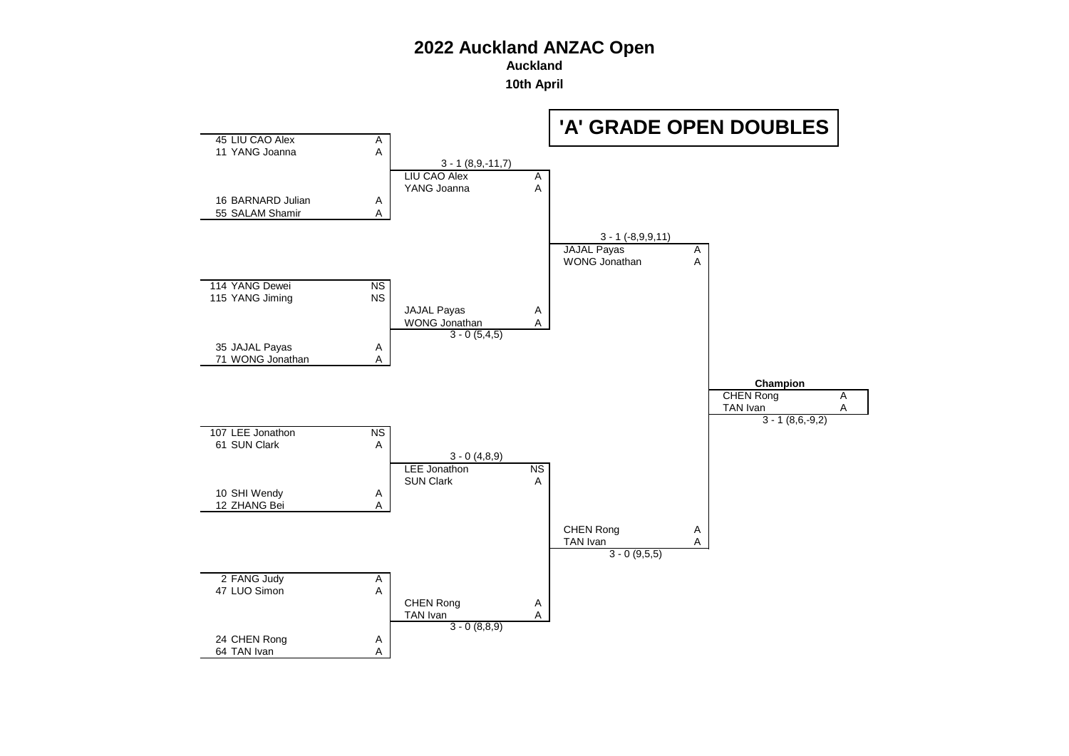**Auckland**

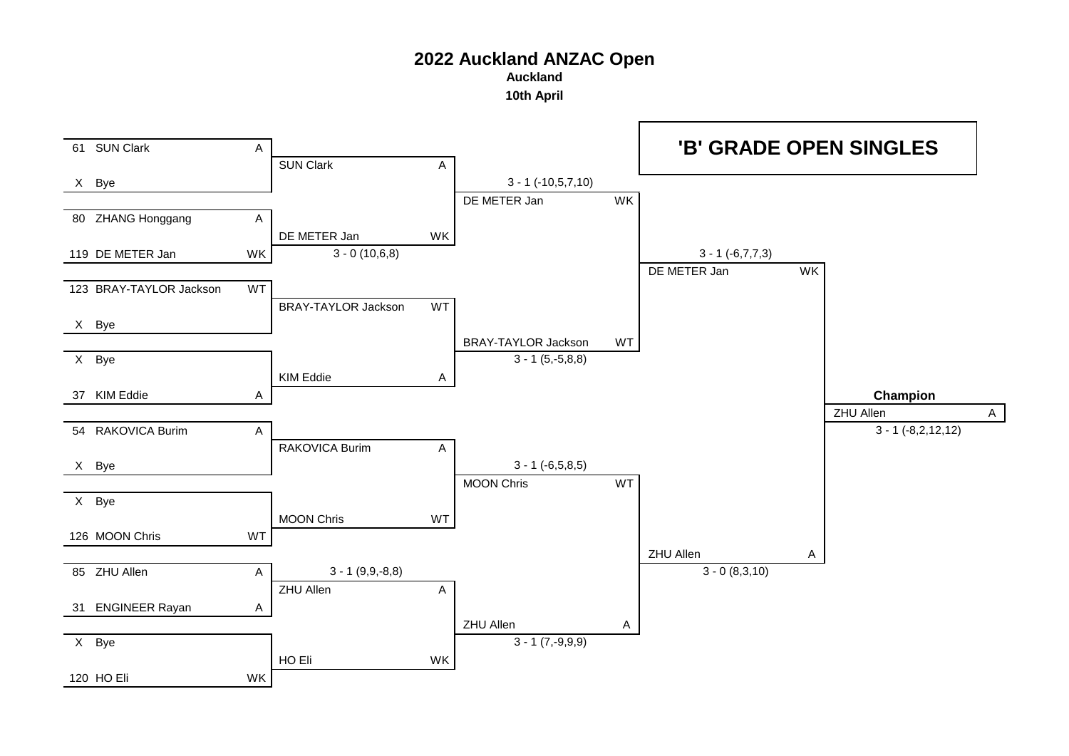**Auckland**

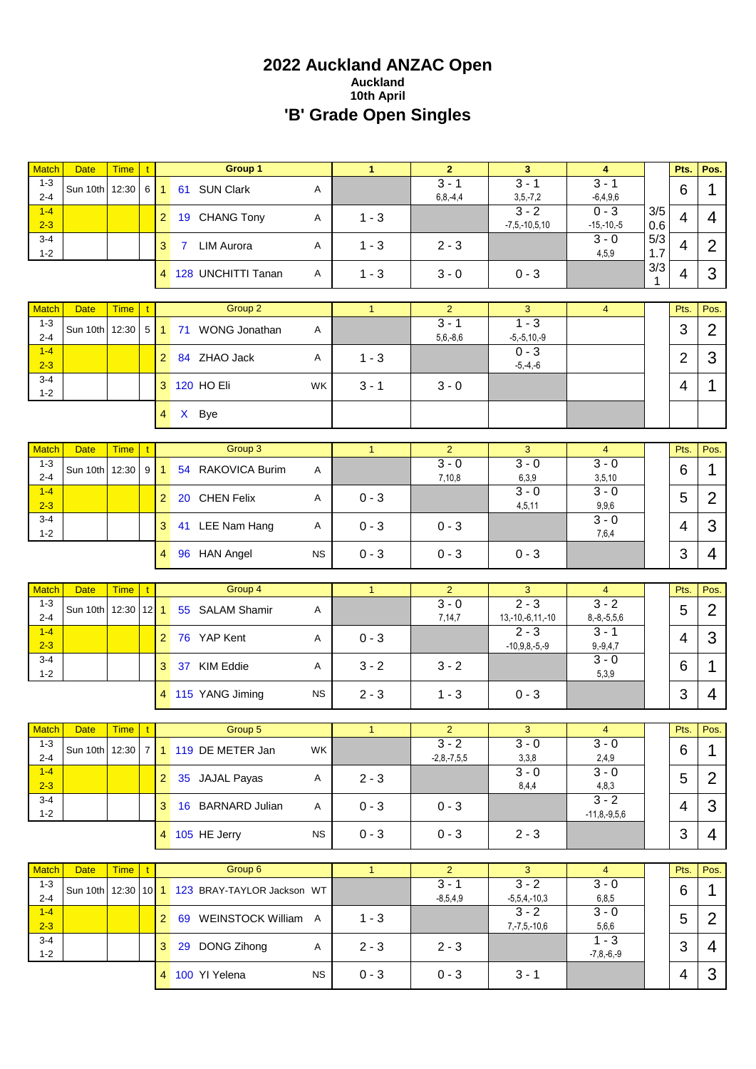# **2022 Auckland ANZAC Open Auckland 10th April 'B' Grade Open Singles**

| <b>Match</b>                       | <b>Date</b>                   | <b>Time</b> | t   |                | Group 1                                    |           | $\mathbf{1}$ | $\overline{2}$                          | 3                              | 4                           |                    | Pts.           | Pos.           |
|------------------------------------|-------------------------------|-------------|-----|----------------|--------------------------------------------|-----------|--------------|-----------------------------------------|--------------------------------|-----------------------------|--------------------|----------------|----------------|
| $1 - 3$<br>$2 - 4$                 | Sun 10th                      | 12:30       | 6 I | 1              | 61 SUN Clark                               | Α         |              | $3 - 1$<br>$6, 8, -4, 4$                | $3 - 1$<br>$3, 5, -7, 2$       | $3 - 1$<br>$-6,4,9,6$       |                    | 6              | 1              |
| $1 - 4$<br>$2 - 3$                 |                               |             |     | 2 <sup>1</sup> | 19 CHANG Tony                              | Α         | $1 - 3$      |                                         | $3 - 2$<br>$-7, 5, -10, 5, 10$ | $0 - 3$<br>$-15,-10,-5$     | 3/5<br>0.6         | $\overline{4}$ | 4              |
| $3 - 4$<br>$1 - 2$                 |                               |             |     | 3              | <b>LIM Aurora</b><br>$7^{\circ}$           | Α         | $1 - 3$      | $2 - 3$                                 |                                | $3 - 0$<br>4,5,9            | 5/3<br>1.7         | $\overline{4}$ | $\overline{2}$ |
|                                    |                               |             |     |                | 4 128 UNCHITTI Tanan                       | Α         | $1 - 3$      | $3 - 0$                                 | $0 - 3$                        |                             | 3/3<br>$\mathbf 1$ | 4              | 3              |
| <b>Match</b>                       | <b>Date</b>                   | <b>Time</b> | t   |                | Group 2                                    |           | $\mathbf{1}$ | $\overline{2}$                          | 3                              | $\overline{4}$              |                    | Pts.           | Pos.           |
| $1 - 3$<br>$2 - 4$                 | Sun 10th                      | 12:30       | 5   | 1              | 71 WONG Jonathan                           | Α         |              | $3 - 1$<br>$5,6,-8,6$                   | $1 - 3$<br>$-5, -5, 10, -9$    |                             |                    | 3              | $\overline{2}$ |
| $1 - 4$<br>$2 - 3$                 |                               |             |     | 2 <sup>1</sup> | 84 ZHAO Jack                               | Α         | $1 - 3$      |                                         | $0 - 3$<br>$-5, -4, -6$        |                             |                    | $\overline{2}$ | 3              |
| $3 - 4$<br>$1 - 2$                 |                               |             |     |                | 3 120 HO Eli                               | WK        | $3 - 1$      | $3 - 0$                                 |                                |                             |                    | 4              | 1              |
|                                    |                               |             |     | $\overline{4}$ | X Bye                                      |           |              |                                         |                                |                             |                    |                |                |
| <b>Match</b>                       | <b>Date</b>                   | <b>Time</b> | t   |                | Group 3                                    |           | $\mathbf{1}$ | $\overline{2}$                          | 3                              | 4                           |                    | Pts.           | Pos.           |
| $1 - 3$<br>$2 - 4$                 | Sun 10th                      | 12:30       | 9   | 1              | 54 RAKOVICA Burim                          | Α         |              | $3 - 0$<br>7,10,8                       | $3 - 0$<br>6,3,9               | $3 - 0$<br>3,5,10           |                    | 6              | 1              |
| $1 - 4$<br>$2 - 3$                 |                               |             |     | 2 <sup>1</sup> | 20 CHEN Felix                              | Α         | $0 - 3$      |                                         | $3 - 0$<br>4,5,11              | $3 - 0$<br>9,9,6            |                    | 5              | $\overline{2}$ |
| 3-4<br>$1 - 2$                     |                               |             |     | 3              | 41 LEE Nam Hang                            | Α         | $0 - 3$      | $0 - 3$                                 |                                | $3 - 0$<br>7,6,4            |                    | 4              | 3              |
|                                    |                               |             |     |                | 4 96 HAN Angel                             | <b>NS</b> | $0 - 3$      | $0 - 3$                                 | $0 - 3$                        |                             |                    | 3              | 4              |
| <b>Match</b>                       | <b>Date</b>                   | <b>Time</b> |     |                | Group 4                                    |           | 1            | $\overline{2}$                          | 3                              | $\overline{4}$              |                    | Pts.           | Pos.           |
| $1 - 3$<br>$2 - 4$                 | Sun 10th                      | 12:30       | 12  | $\overline{1}$ | 55 SALAM Shamir                            | Α         |              | $3 - 0$<br>7,14,7                       | $2 - 3$<br>$13,-10,-6,11,-10$  | $3 - 2$<br>$8,-8,-5,5,6$    |                    | 5              | $\overline{2}$ |
| $1 - 4$<br>$2 - 3$                 |                               |             |     | 2 <sup>1</sup> | 76 YAP Kent                                | A         | $0 - 3$      |                                         | $\overline{2-3}$               | $3 - 1$                     |                    | 4              | 3              |
|                                    |                               |             |     |                |                                            |           |              |                                         |                                |                             |                    |                |                |
| $3 - 4$<br>$1 - 2$                 |                               |             |     | 3              | 37 KIM Eddie                               | Α         | $3 - 2$      | $3 - 2$                                 | $-10,9,8,-5,-9$                | $9, -9, 4, 7$<br>$3 - 0$    |                    | 6              | 1              |
|                                    |                               |             |     |                | 4 115 YANG Jiming                          | <b>NS</b> | $2 - 3$      | $1 - 3$                                 | $0 - 3$                        | 5,3,9                       |                    | 3              | 4              |
|                                    |                               |             |     |                |                                            |           |              |                                         |                                |                             |                    |                |                |
| Match                              | Date                          | Time   t    |     |                | Group 5                                    |           | 1            | $\mathbf{2}$                            | 3                              | $\overline{4}$              |                    | Pts.           | Pos.           |
| $1 - 3$<br>$2 - 4$                 |                               |             |     |                | Sun 10th 12:30 7 1 119 DE METER Jan        | <b>WK</b> |              | $3 - 2$<br>$-2,8,-7,5,5$                | $3 - 0$<br>3,3,8               | $3 - 0$<br>2,4,9            |                    | 6              | $\mathbf 1$    |
| $1 - 4$<br>$2 - 3$                 |                               |             |     |                | 2 35 JAJAL Payas                           | A         | $2 - 3$      |                                         | $3 - 0$<br>8,4,4               | $3 - 0$<br>4,8,3            |                    | 5              | $\overline{2}$ |
| $3 - 4$<br>$1 - 2$                 |                               |             |     |                | 3 16 BARNARD Julian                        | A         | $0 - 3$      | $0 - 3$                                 |                                | $3 - 2$<br>$-11,8,-9,5,6$   |                    | 4              | 3              |
|                                    |                               |             |     |                | 4 105 HE Jerry                             | <b>NS</b> | $0 - 3$      | $0 - 3$                                 | $2 - 3$                        |                             |                    | 3              | 4              |
|                                    |                               |             |     |                |                                            |           | 1            |                                         | $\mathbf{3}$                   | $\overline{4}$              |                    |                |                |
| <b>Match</b><br>$1 - 3$<br>$2 - 4$ | <b>Date</b><br>Sun 10th 12:30 | <b>Time</b> |     |                | Group 6<br>10 1 123 BRAY-TAYLOR Jackson WT |           |              | $\overline{2}$<br>$3 - 1$<br>$-8,5,4,9$ | $3 - 2$<br>$-5,5,4,-10,3$      | $\overline{3} - 0$<br>6,8,5 |                    | Pts.<br>6      | Pos.<br>1      |
| $1 - 4$<br>$2 - 3$                 |                               |             |     |                | 2 69 WEINSTOCK William A                   |           | $1 - 3$      |                                         | $3 - 2$<br>$7, -7, 5, -10, 6$  | $3 - 0$<br>5,6,6            |                    | 5              | $\overline{2}$ |
| $3 - 4$<br>$1 - 2$                 |                               |             |     |                | 3 29 DONG Zihong                           | A         | $2 - 3$      | $2 - 3$                                 |                                | $1 - 3$<br>$-7,8,-6,-9$     |                    | 3              | 4              |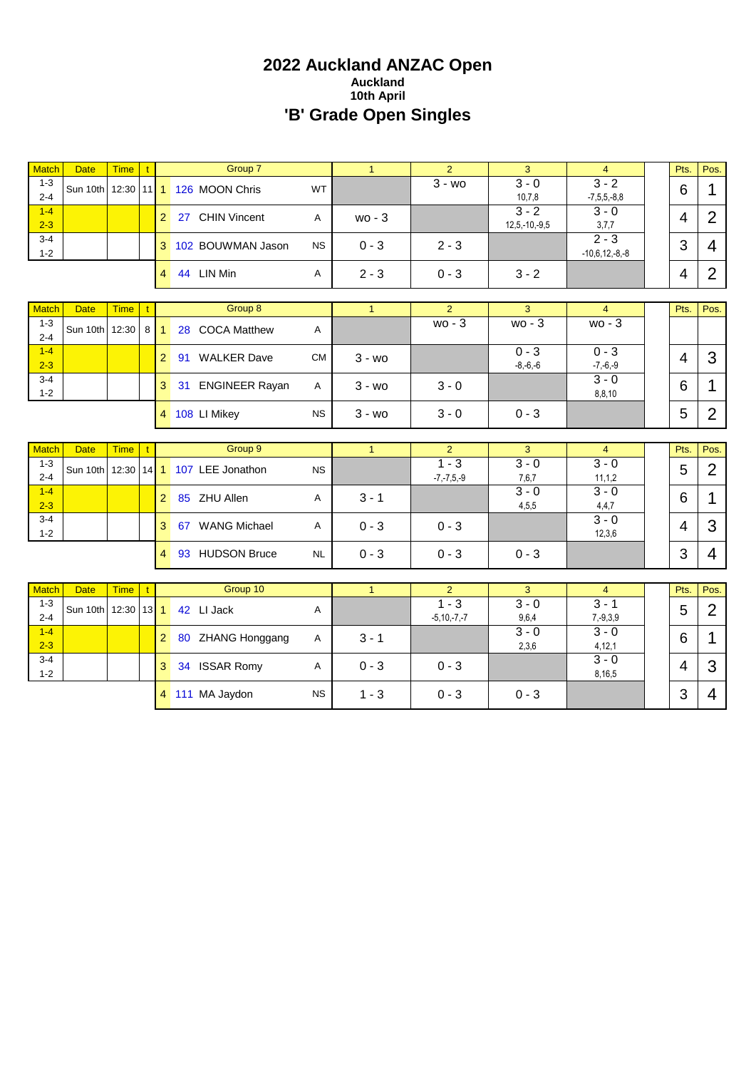# **2022 Auckland ANZAC Open Auckland 10th April 'B' Grade Open Singles**

| <b>Match</b>                       | <b>Date</b>             | <b>Time</b>          | t.     |                | Group 7                                     |           | $\mathbf{1}$ | $\overline{2}$                     | 3                          | $\overline{4}$                       | Pts.           | Pos.                   |
|------------------------------------|-------------------------|----------------------|--------|----------------|---------------------------------------------|-----------|--------------|------------------------------------|----------------------------|--------------------------------------|----------------|------------------------|
| $1 - 3$<br>$2 - 4$                 | Sun 10th                | 12:30                |        |                | 11 1 126 MOON Chris                         | <b>WT</b> |              | $3 - w0$                           | $3 - 0$<br>10,7,8          | $3 - 2$<br>$-7, 5, 5, -8, 8$         | 6              | 1                      |
| $1 - 4$<br>$2 - 3$                 |                         |                      |        | $\overline{2}$ | 27 CHIN Vincent                             | Α         | $wo - 3$     |                                    | $3 - 2$<br>$12,5,-10,-9,5$ | $3 - 0$<br>3,7,7                     | 4              | $\overline{2}$         |
| $3 - 4$<br>$1 - 2$                 |                         |                      |        | 3              | 102 BOUWMAN Jason                           | <b>NS</b> | $0 - 3$      | $2 - 3$                            |                            | $\overline{2-3}$<br>$-10,6,12,-8,-8$ | 3              | $\overline{4}$         |
|                                    |                         |                      |        | $\overline{4}$ | 44 LIN Min                                  | A         | $2 - 3$      | $0 - 3$                            | $3 - 2$                    |                                      | $\overline{4}$ | $\overline{2}$         |
| <b>Match</b>                       | <b>Date</b>             | <b>Time</b>          |        |                | Group 8                                     |           | $\mathbf{1}$ | $\overline{2}$                     | 3                          | $\overline{4}$                       | Pts.           | Pos.                   |
| $1 - 3$<br>$2 - 4$                 | Sun 10th                | 12:30                | 8      |                | 28 COCA Matthew                             | Α         |              | $wo - 3$                           | $wo - 3$                   | $wo - 3$                             |                |                        |
| $1 - 4$<br>$2 - 3$                 |                         |                      |        | $\overline{2}$ | 91 WALKER Dave                              | <b>CM</b> | $3 - w_0$    |                                    | $0 - 3$<br>$-8,-6,-6$      | $0 - 3$<br>$-7,-6,-9$                | $\overline{4}$ | 3                      |
| $3 - 4$<br>$1 - 2$                 |                         |                      |        | 3              | 31 ENGINEER Rayan                           | A         | $3 - w0$     | $3 - 0$                            |                            | $3 - 0$<br>8,8,10                    | 6              | 1                      |
|                                    |                         |                      |        |                | 4 108 LI Mikey                              | <b>NS</b> | $3 - w0$     | $3 - 0$                            | $0 - 3$                    |                                      | 5              | $\overline{2}$         |
|                                    |                         |                      |        |                |                                             |           |              |                                    |                            |                                      |                |                        |
|                                    |                         |                      |        |                |                                             |           |              |                                    |                            |                                      |                |                        |
| <b>Match</b><br>$1 - 3$<br>$2 - 4$ | <b>Date</b><br>Sun 10th | <b>Time</b><br>12:30 |        |                | Group 9<br>14 <sup>1</sup> 107 LEE Jonathon | <b>NS</b> | $\mathbf{1}$ | $\overline{2}$<br>$\overline{1-3}$ | 3<br>$3 - 0$               | $\overline{4}$<br>$3 - 0$            | Pts.<br>5      | Pos.<br>$\overline{2}$ |
| $1 - 4$<br>$2 - 3$                 |                         |                      |        | $\overline{2}$ | 85 ZHU Allen                                | A         | $3 - 1$      | $-7, -7, 5, -9$                    | 7,6,7<br>$3 - 0$<br>4,5,5  | 11, 1, 2<br>$3 - 0$<br>4,4,7         | 6              | 1                      |
| $3 - 4$<br>$1 - 2$                 |                         |                      |        | 3              | 67 WANG Michael                             | Α         | $0 - 3$      | $0 - 3$                            |                            | $3 - 0$<br>12,3,6                    | $\overline{4}$ | 3                      |
|                                    |                         |                      |        | $\overline{4}$ | 93 HUDSON Bruce                             | <b>NL</b> | $0 - 3$      | $0 - 3$                            | $0 - 3$                    |                                      | 3              | $\overline{4}$         |
|                                    |                         |                      |        |                |                                             |           |              |                                    |                            |                                      |                |                        |
| <b>Match</b><br>$1 - 3$            | <b>Date</b>             | <b>Time</b>          |        |                | Group 10                                    |           | $\mathbf{1}$ | $\overline{2}$<br>$\overline{1-3}$ | 3<br>$3 - 0$               | $\overline{4}$<br>$3 - 1$            | Pts.           | Pos.                   |
| $2 - 4$                            | Sun 10th 12:30          |                      | $13$ 1 |                | 42 LI Jack                                  | A         |              | $-5, 10, -7, -7$                   | 9,6,4                      | $7, -9, 3, 9$                        | 5              | $\overline{2}$         |
| $1 - 4$<br>$2 - 3$                 |                         |                      |        | $\overline{2}$ | 80 ZHANG Honggang                           | A         | $3 - 1$      |                                    | $3 - 0$<br>2,3,6           | $3 - 0$<br>4, 12, 1                  | 6              | 1                      |
| $3 - 4$<br>$1 - 2$                 |                         |                      |        | 3              | 34 ISSAR Romy                               | A         | $0 - 3$      | $0 - 3$                            |                            | $3 - 0$<br>8,16,5                    | $\overline{4}$ | 3                      |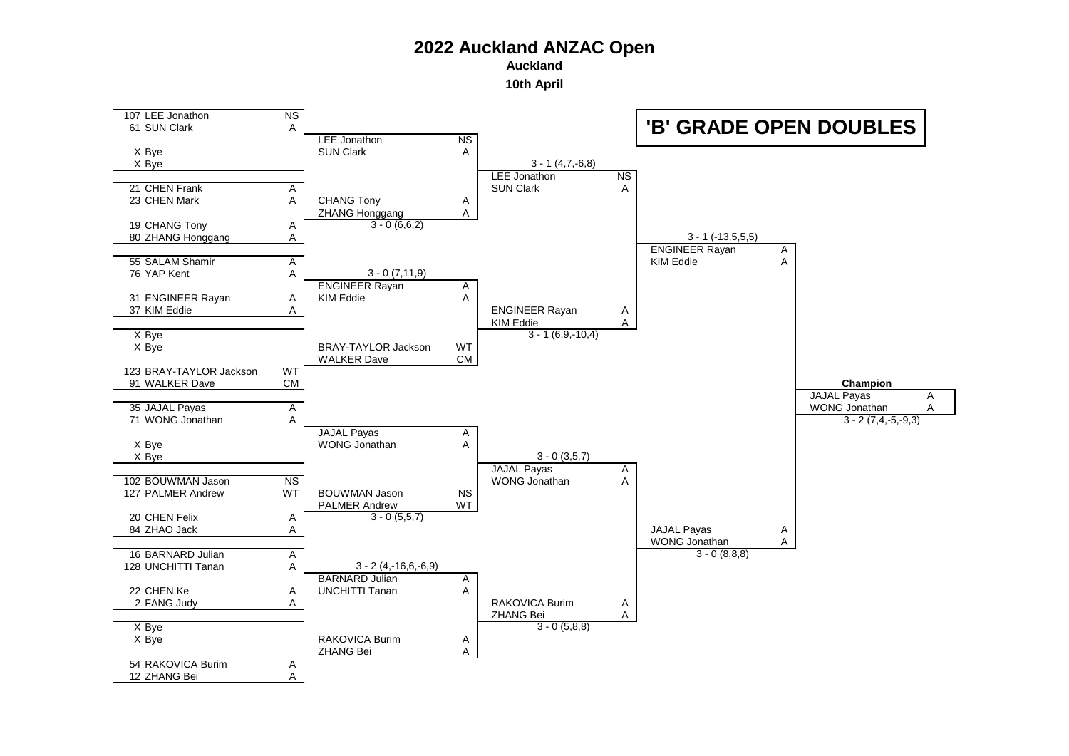**Auckland**

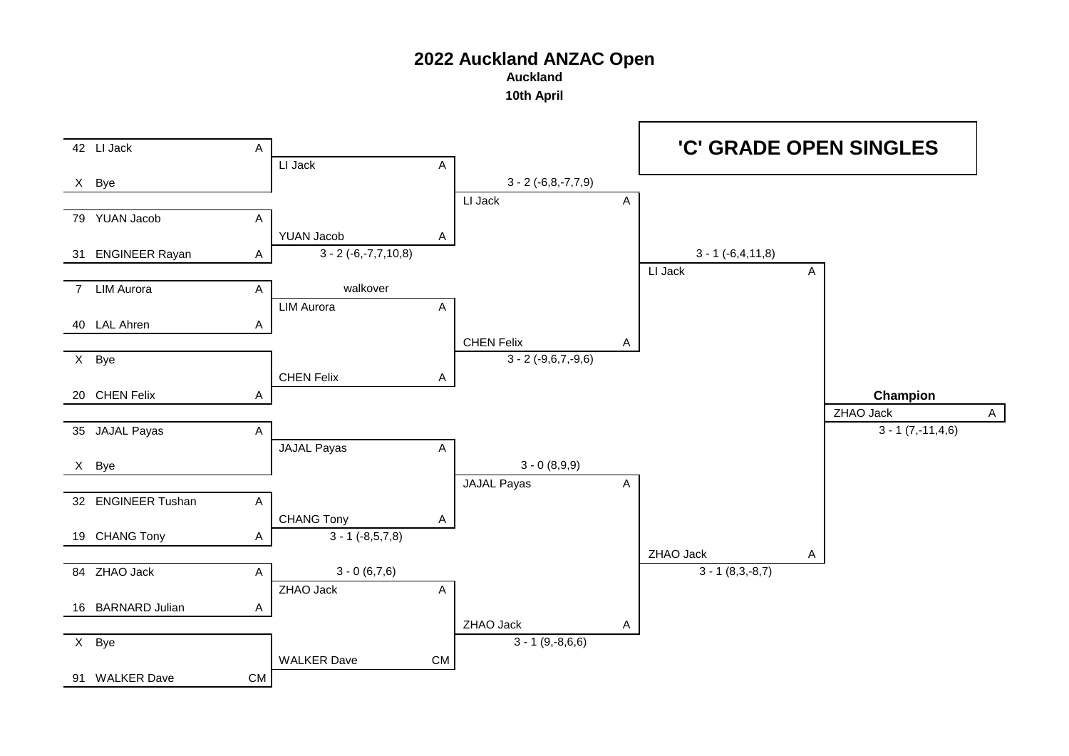**Auckland**

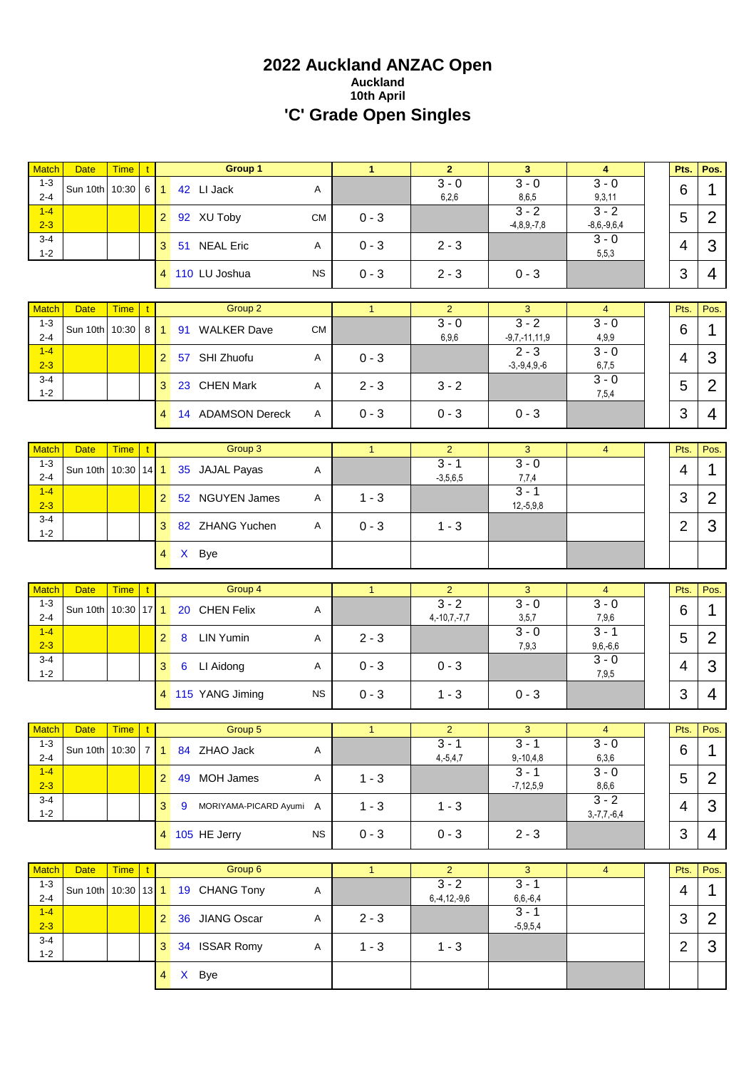# **2022 Auckland ANZAC Open Auckland 10th April 'C' Grade Open Singles**

| <b>Match</b>                | <b>Date</b>                   | <b>Time</b>          | t            |                      | Group 1                         |           | $\mathbf{1}$ | $\overline{2}$            | 3                             | $\overline{4}$               | Pts.           | Pos.           |
|-----------------------------|-------------------------------|----------------------|--------------|----------------------|---------------------------------|-----------|--------------|---------------------------|-------------------------------|------------------------------|----------------|----------------|
| $1 - 3$<br>$2 - 4$          | Sun 10th                      | 10:30                | $6 \mid$     | $\blacktriangleleft$ | 42 LI Jack                      | Α         |              | $3 - 0$<br>6,2,6          | $3 - 0$<br>8,6,5              | $3 - 0$<br>9,3,11            | 6              | 1              |
| $1 - 4$<br>$2 - 3$          |                               |                      |              | 2 <sup>1</sup>       | 92 XU Toby                      | <b>CM</b> | $0 - 3$      |                           | $3 - 2$<br>$-4,8,9,-7,8$      | $3 - 2$<br>$-8,6,-9,6,4$     | 5              | $\overline{2}$ |
| $3 - 4$<br>$1 - 2$          |                               |                      |              | 3 <sup>1</sup>       | 51 NEAL Eric                    | Α         | $0 - 3$      | $2 - 3$                   |                               | $3 - 0$<br>5,5,3             | $\overline{4}$ | 3              |
|                             |                               |                      |              |                      | 4 110 LU Joshua                 | <b>NS</b> | $0 - 3$      | $2 - 3$                   | $0 - 3$                       |                              | 3              | 4              |
|                             |                               |                      |              |                      |                                 |           |              |                           |                               |                              |                |                |
| <b>Match</b>                | <b>Date</b>                   | <b>Time</b>          |              |                      | Group 2                         |           | $\mathbf{1}$ | $\overline{2}$<br>$3 - 0$ | 3<br>$3 - 2$                  | $\overline{4}$<br>$3 - 0$    | Pts.           | Pos.           |
| $1 - 3$<br>$2 - 4$          | Sun 10th                      | 10:30                | 8            | $\mathbf{1}$         | 91 WALKER Dave                  | <b>CM</b> |              | 6,9,6                     | $-9,7,-11,11,9$               | 4,9,9                        | 6              | 1              |
| $1-4$<br>$2 - 3$            |                               |                      |              | 2 <sup>1</sup>       | 57 SHI Zhuofu                   | Α         | $0 - 3$      |                           | $2 - 3$<br>$-3, -9, 4, 9, -6$ | $3 - 0$<br>6,7,5             | 4              | 3              |
| $3 - 4$<br>$1 - 2$          |                               |                      |              | 3                    | 23 CHEN Mark                    | Α         | $2 - 3$      | $3 - 2$                   |                               | $3 - 0$<br>7,5,4             | 5              | $\overline{2}$ |
|                             |                               |                      |              |                      | 4 14 ADAMSON Dereck             | Α         | $0 - 3$      | $0 - 3$                   | $0 - 3$                       |                              | 3              | 4              |
|                             |                               |                      |              |                      |                                 |           |              |                           |                               |                              |                |                |
| <b>Match</b><br>$1 - 3$     | <b>Date</b>                   | <b>Time</b>          | $\mathbf{t}$ |                      | Group 3                         |           | $\mathbf{1}$ | $\overline{2}$<br>$3 - 1$ | 3<br>$3 - 0$                  | $\overline{4}$               | Pts.           | Pos.           |
| $2 - 4$                     | Sun 10th                      | 10:30                | $14$ 1       |                      | 35 JAJAL Payas                  | Α         |              | $-3,5,6,5$                | 7,7,4                         |                              | 4              | 1              |
| $1 - 4$<br>$2 - 3$          |                               |                      |              | 2 <sup>1</sup>       | 52 NGUYEN James                 | Α         | $1 - 3$      |                           | $3 - 1$<br>$12,-5,9,8$        |                              | 3              | $\overline{2}$ |
| 3-4<br>$1 - 2$              |                               |                      |              | 3 <sup>1</sup>       | 82 ZHANG Yuchen                 | A         | $0 - 3$      | $1 - 3$                   |                               |                              | $\overline{2}$ | 3              |
|                             |                               |                      |              |                      | 4 X Bye                         |           |              |                           |                               |                              |                |                |
|                             |                               |                      |              |                      |                                 |           |              |                           |                               |                              |                |                |
|                             |                               |                      |              |                      |                                 |           |              |                           |                               |                              |                |                |
| <b>Match</b><br>$1 - 3$     | <b>Date</b><br>Sun 10th       | <b>Time</b><br>10:30 | 17           | $\overline{1}$       | Group 4<br>20 CHEN Felix        | Α         | $\mathbf{1}$ | $\overline{2}$<br>$3 - 2$ | 3<br>$3 - 0$                  | $\overline{4}$<br>$3 - 0$    | Pts.<br>6      | Pos.<br>1      |
| $2 - 4$<br>$1 - 4$          |                               |                      |              | $\overline{2}$       | <b>LIN Yumin</b><br>8           | Α         | $2 - 3$      | $4,-10,7,-7,7$            | 3,5,7<br>$3 - 0$              | 7,9,6<br>$3 - 1$             | 5              | $\overline{2}$ |
| $2 - 3$<br>$3 - 4$          |                               |                      |              | 3 <sup>1</sup>       | 6 LI Aidong                     | Α         | $0 - 3$      | $0 - 3$                   | 7,9,3                         | $9,6,-6,6$<br>$3 - 0$        | 4              | 3              |
| $1 - 2$                     |                               |                      |              |                      | 4 115 YANG Jiming               | <b>NS</b> | $0 - 3$      | $1 - 3$                   | $0 - 3$                       | 7,9,5                        | 3              | 4              |
|                             |                               |                      |              |                      |                                 |           |              |                           |                               |                              |                |                |
|                             | Date                          | Time   t             |              |                      | Group 5                         |           | -1           | $\mathbf{2}$              | 3                             | 4                            | Pts.           | Pos.           |
| Match<br>$1 - 3$<br>$2 - 4$ |                               |                      |              |                      | Sun 10th 10:30 7 1 84 ZHAO Jack | Α         |              | $3 - 1$<br>$4, -5, 4, 7$  | $3 - 1$<br>$9,-10,4,8$        | $3 - 0$<br>6,3,6             | 6              | $\mathbf 1$    |
| $1 - 4$<br>$2 - 3$          |                               |                      |              |                      | 2 49 MOH James                  | A         | $1 - 3$      |                           | $3 - 1$<br>$-7, 12, 5, 9$     | $3 - 0$<br>8,6,6             | 5              | $\overline{2}$ |
| $3 - 4$<br>$1 - 2$          |                               |                      |              | 3 <sup>1</sup>       | 9 MORIYAMA-PICARD Ayumi A       |           | $1 - 3$      | $1 - 3$                   |                               | $3 - 2$<br>$3, -7, 7, -6, 4$ | 4              | 3              |
|                             |                               |                      |              |                      | 4 105 HE Jerry                  | <b>NS</b> | $0 - 3$      | $0 - 3$                   | $2 - 3$                       |                              | 3              | 4              |
|                             |                               |                      |              |                      |                                 |           |              |                           |                               |                              |                |                |
| <b>Match</b><br>$1 - 3$     | <b>Date</b><br>Sun 10th 10:30 | <b>Time</b>          |              |                      | Group 6                         | A         | 1            | $\overline{2}$<br>$3 - 2$ | $\overline{3}$<br>$3 - 1$     | $\overline{4}$               | Pts.           | Pos.           |
| $2 - 4$<br>$1 - 4$          |                               |                      |              |                      | 13 1 19 CHANG Tony              |           |              | $6, -4, 12, -9, 6$        | $6,6,-6,4$<br>$3 - 1$         |                              | 4              | $\mathbf 1$    |
| $2 - 3$<br>$3 - 4$          |                               |                      |              |                      | 2 36 JIANG Oscar                | A         | $2 - 3$      |                           | $-5,9,5,4$                    |                              | 3              | $\overline{2}$ |
| $1 - 2$                     |                               |                      |              |                      | 3 34 ISSAR Romy<br>4 X Bye      | A         | $1 - 3$      | $1 - 3$                   |                               |                              | $\overline{2}$ | 3              |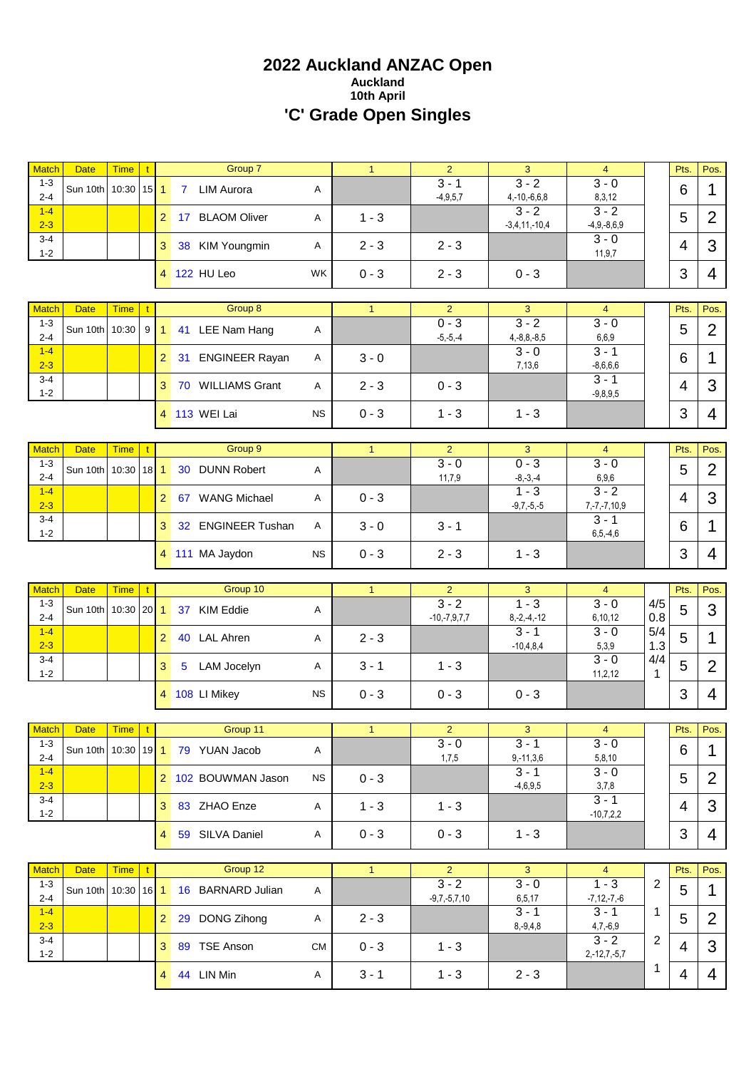# **2022 Auckland ANZAC Open Auckland 10th April 'C' Grade Open Singles**

| Match                              | <b>Date</b>                        | <b>Time</b> | $\mathbf{t}$ |                |                | Group 7                                       |           | $\mathbf{1}$ | $\overline{2}$                              | 3                                         | $\overline{4}$                            |                | Pts.      | Pos.           |
|------------------------------------|------------------------------------|-------------|--------------|----------------|----------------|-----------------------------------------------|-----------|--------------|---------------------------------------------|-------------------------------------------|-------------------------------------------|----------------|-----------|----------------|
| $1 - 3$<br>$2 - 4$                 | Sun 10th 10:30                     |             | $15$   1     |                | $\overline{7}$ | <b>LIM Aurora</b>                             | Α         |              | $3 - 1$<br>$-4,9,5,7$                       | $3 - 2$<br>$4, -10, -6, 6, 8$             | $\overline{3} - 0$<br>8,3,12              |                | 6         | 1              |
| $1 - 4$<br>$2 - 3$                 |                                    |             |              | $\overline{2}$ |                | 17 BLAOM Oliver                               | Α         | $1 - 3$      |                                             | $3 - 2$<br>$-3,4,11,-10,4$                | $3 - 2$<br>$-4,9,-8,6,9$                  |                | 5         | $\overline{2}$ |
| $3 - 4$<br>$1 - 2$                 |                                    |             |              | 3              |                | 38 KIM Youngmin                               | Α         | $2 - 3$      | $2 - 3$                                     |                                           | $3 - 0$<br>11,9,7                         |                | 4         | 3              |
|                                    |                                    |             |              |                |                | 4 122 HU Leo                                  | <b>WK</b> | $0 - 3$      | $2 - 3$                                     | $0 - 3$                                   |                                           |                | 3         | 4              |
| <b>Match</b>                       | <b>Date</b>                        | <b>Time</b> | t.           |                |                | Group 8                                       |           | $\mathbf{1}$ | $\overline{2}$                              | 3                                         | $\overline{4}$                            |                | Pts.      | Pos.           |
| $1 - 3$<br>$2 - 4$                 | Sun 10th 10:30                     |             | 9            | $\mathbf{1}$   |                | 41 LEE Nam Hang                               | Α         |              | $0 - 3$<br>$-5, -5, -4$                     | $3 - 2$<br>$4, -8, 8, -8, 5$              | $3 - 0$<br>6,6,9                          |                | 5         | $\overline{2}$ |
| $1 - 4$<br>$2 - 3$                 |                                    |             |              | $\overline{2}$ |                | 31 ENGINEER Rayan                             | Α         | $3 - 0$      |                                             | $3 - 0$<br>7,13,6                         | $3 - 1$<br>$-8,6,6,6$                     |                | 6         | 1              |
| $3 - 4$<br>$1 - 2$                 |                                    |             |              | 3              |                | 70 WILLIAMS Grant                             | Α         | $2 - 3$      | $0 - 3$                                     |                                           | $3 - 1$<br>$-9,8,9,5$                     |                | 4         | 3              |
|                                    |                                    |             |              |                |                | 4 113 WEI Lai                                 | <b>NS</b> | $0 - 3$      | $1 - 3$                                     | $1 - 3$                                   |                                           |                | 3         | 4              |
| <b>Match</b>                       | <b>Date</b>                        | <b>Time</b> | $\mathbf{t}$ |                |                | Group 9                                       |           | $\mathbf{1}$ | $\overline{2}$                              | 3                                         | $\overline{4}$                            |                | Pts.      | Pos.           |
| $1 - 3$<br>$2 - 4$                 | Sun 10th   10:30                   |             | $18$   1     |                |                | 30 DUNN Robert                                | Α         |              | $3 - 0$<br>11,7,9                           | $0 - 3$<br>$-8, -3, -4$                   | $3 - 0$<br>6,9,6                          |                | 5         | $\overline{2}$ |
| $1 - 4$<br>$2 - 3$                 |                                    |             |              | $\overline{2}$ |                | 67 WANG Michael                               | Α         | $0 - 3$      |                                             | $1 - 3$<br>$-9,7,-5,-5$                   | $3 - 2$<br>$7, -7, -7, 10, 9$             |                | 4         | 3              |
| $3 - 4$<br>$1 - 2$                 |                                    |             |              | 3              |                | 32 ENGINEER Tushan                            | Α         | $3 - 0$      | $3 - 1$                                     |                                           | $3 - 1$<br>$6, 5, -4, 6$                  |                | 6         | 1              |
|                                    |                                    |             |              |                |                | 4 111 MA Jaydon                               | <b>NS</b> | $0 - 3$      | $2 - 3$                                     | $1 - 3$                                   |                                           |                | 3         | 4              |
|                                    |                                    |             |              |                |                |                                               |           |              |                                             |                                           |                                           |                |           |                |
|                                    |                                    |             |              |                |                |                                               |           |              |                                             |                                           |                                           |                |           |                |
| <b>Match</b><br>$1 - 3$<br>$2 - 4$ | <b>Date</b><br>Sun 10th 10:30   20 | <b>Time</b> | $\mathbf{t}$ | $\mathbf{1}$   |                | Group 10<br>37 KIM Eddie                      | Α         | $\mathbf{1}$ | $\overline{2}$<br>$3 - 2$<br>$-10,-7,9,7,7$ | 3<br>$\overline{1-3}$<br>$8, -2, -4, -12$ | $\overline{4}$<br>$3 - 0$<br>6,10,12      | 4/5<br>0.8     | Pts.<br>5 | Pos.<br>3      |
| $1 - 4$<br>$2 - 3$                 |                                    |             |              | $\overline{2}$ |                | 40 LAL Ahren                                  | Α         | $2 - 3$      |                                             | $3 - 1$<br>$-10,4,8,4$                    | $3 - 0$<br>5,3,9                          | 5/4<br>1.3     | 5         | 1              |
| $3 - 4$<br>$1 - 2$                 |                                    |             |              | 3              | 5              | LAM Jocelyn                                   | Α         | $3 - 1$      | $1 - 3$                                     |                                           | $3 - 0$<br>11, 2, 12                      | 4/4<br>1       | 5         | $\overline{2}$ |
|                                    |                                    |             |              |                |                | 4 108 LI Mikey                                | <b>NS</b> | $0 - 3$      | $0 - 3$                                     | $0 - 3$                                   |                                           |                | 3         | 4              |
|                                    |                                    |             |              |                |                |                                               |           |              |                                             |                                           |                                           |                |           |                |
| Match<br>$1 - 3$                   | <b>Date</b>                        | Time   t    |              |                |                | Group 11<br>Sun 10th 10:30 19 1 79 YUAN Jacob | A         | $\mathbf{1}$ | $\overline{2}$<br>$3 - 0$                   | 3<br>$3 - 1$                              | $\overline{4}$<br>$3 - 0$                 |                | Pts.<br>6 | Pos.<br>1      |
| $2 - 4$<br>$1 - 4$<br>$2 - 3$      |                                    |             |              |                |                | 2 102 BOUWMAN Jason                           | <b>NS</b> | $0 - 3$      | 1,7,5                                       | $9,-11,3,6$<br>$3 - 1$<br>$-4,6,9,5$      | 5,8,10<br>$3 - 0$<br>3,7,8                |                | 5         | $\overline{2}$ |
| $3 - 4$<br>$1 - 2$                 |                                    |             |              |                |                | 3 83 ZHAO Enze                                | Α         | $1 - 3$      | $1 - 3$                                     |                                           | $3 - 1$<br>$-10,7,2,2$                    |                | 4         | 3              |
|                                    |                                    |             |              |                |                | 4 59 SILVA Daniel                             | Α         | $0 - 3$      | $0 - 3$                                     | $1 - 3$                                   |                                           |                | 3         | 4              |
|                                    |                                    |             |              |                |                |                                               |           |              |                                             |                                           |                                           |                |           |                |
| <b>Match</b><br>$1 - 3$<br>$2 - 4$ | <b>Date</b><br>Sun 10th 10:30      | <b>Time</b> | $\mathbf{t}$ | $16$ 1         |                | Group 12<br>16 BARNARD Julian                 | Α         | 1            | $\overline{2}$<br>$3 - 2$                   | $\overline{3}$<br>$3 - 0$                 | $\overline{4}$<br>$1 - 3$                 | $\overline{2}$ | Pts.<br>5 | Pos.<br>1      |
| $1-4$<br>$2 - 3$                   |                                    |             |              | $\overline{2}$ |                | 29 DONG Zihong                                | A         | $2 - 3$      | $-9,7,-5,7,10$                              | 6,5,17<br>$3 - 1$<br>$8, -9, 4, 8$        | $-7, 12, -7, -6$<br>$3 - 1$<br>$4,7,-6,9$ | 1              | 5         | $\overline{2}$ |
| $3 - 4$<br>$1 - 2$                 |                                    |             |              |                |                | 3 89 TSE Anson                                | <b>CM</b> | $0 - 3$      | $1 - 3$                                     |                                           | $3 - 2$<br>$2,-12,7,-5,7$                 | 2              | 4         | 3              |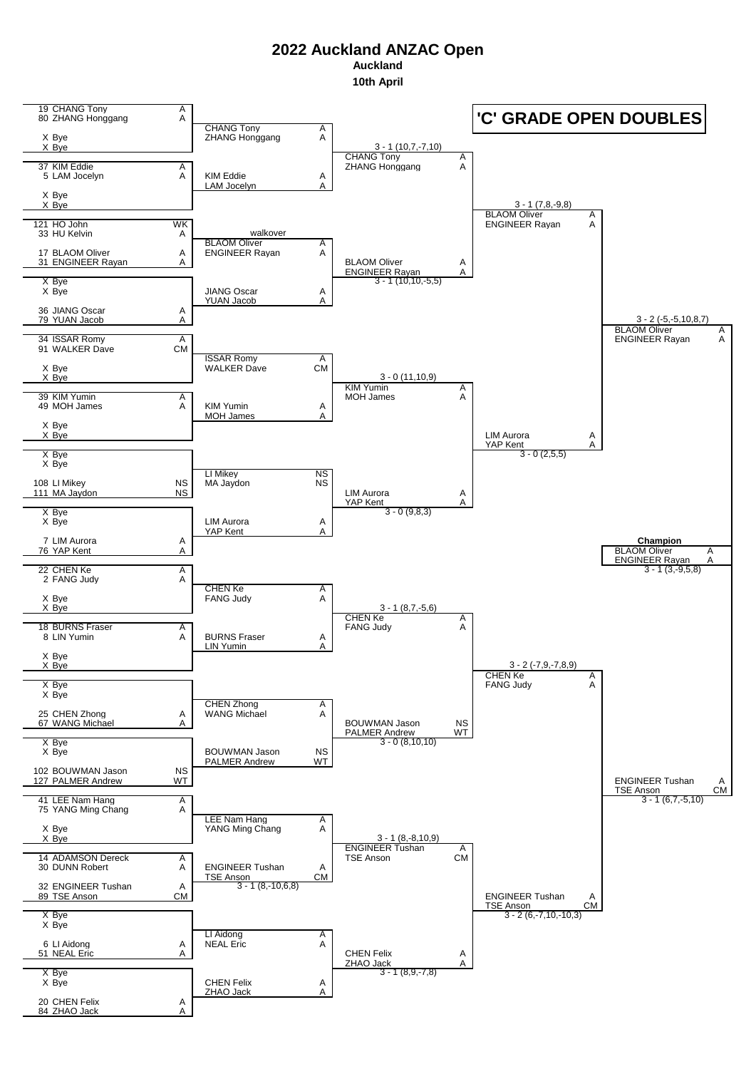**Auckland**

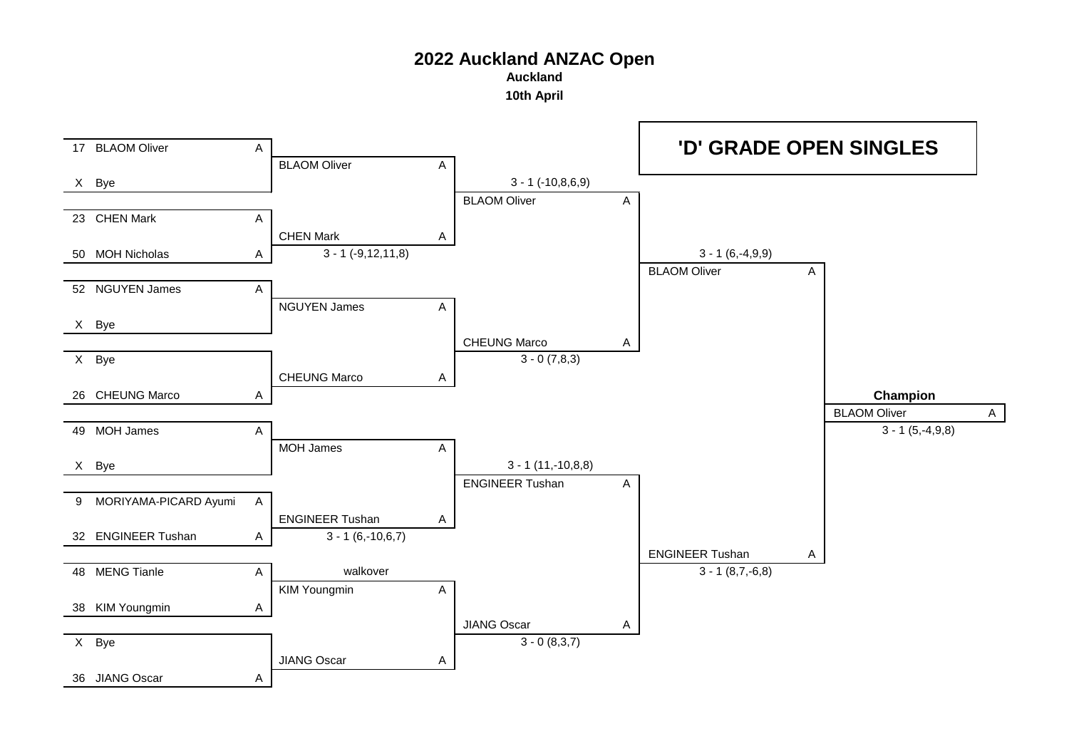**Auckland**

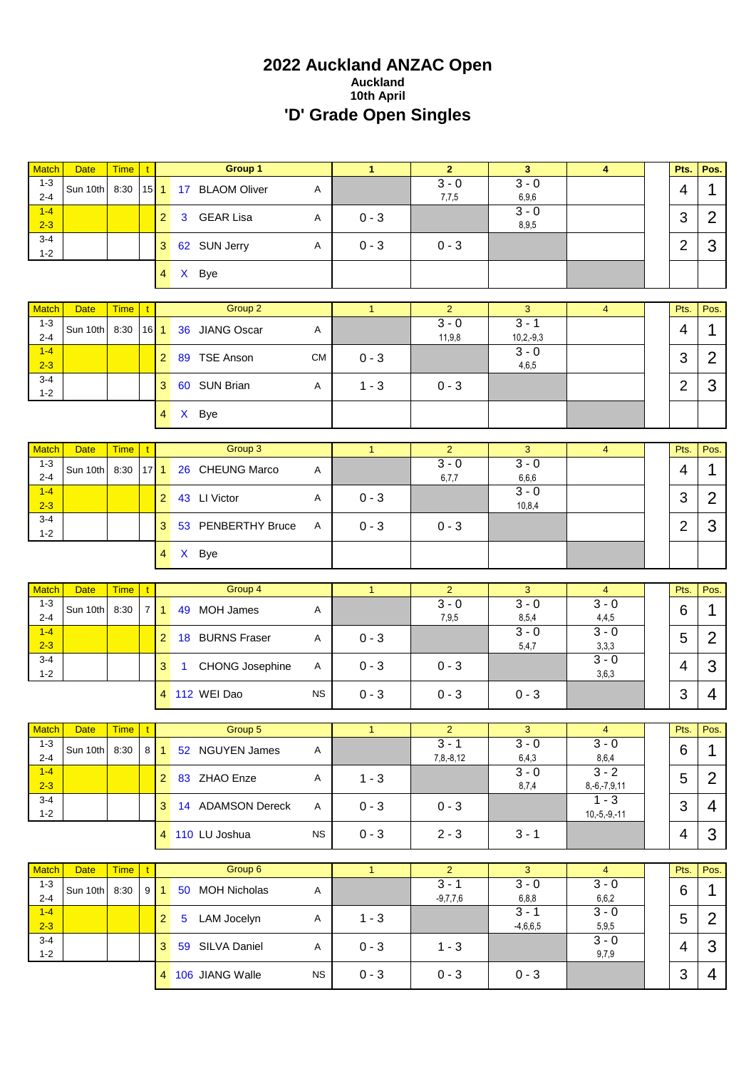# **2022 Auckland ANZAC Open Auckland 10th April 'D' Grade Open Singles**

| <b>Match</b>                  | <b>Date</b>             | <b>Time</b>         | $\mathbf t$         |                 | Group 1                                |           | $\mathbf{1}$ | $\overline{2}$                           | 3                                  | 4                                  | Pts.           | Pos.           |
|-------------------------------|-------------------------|---------------------|---------------------|-----------------|----------------------------------------|-----------|--------------|------------------------------------------|------------------------------------|------------------------------------|----------------|----------------|
| $1 - 3$<br>$2 - 4$            | Sun 10th                | 8:30                | $15$   1            |                 | 17 BLAOM Oliver                        | Α         |              | $3 - 0$<br>7,7,5                         | $3 - 0$<br>6,9,6                   |                                    | 4              | 1              |
| $1-4$<br>$2 - 3$              |                         |                     |                     | $\overline{2}$  | <b>GEAR Lisa</b><br>3                  | Α         | $0 - 3$      |                                          | $3 - 0$<br>8,9,5                   |                                    | 3              | $\overline{2}$ |
| $3 - 4$<br>$1 - 2$            |                         |                     |                     | 3 <sup>1</sup>  | 62 SUN Jerry                           | Α         | $0 - 3$      | $0 - 3$                                  |                                    |                                    | $\overline{2}$ | 3              |
|                               |                         |                     |                     | 4 <sup>1</sup>  | X Bye                                  |           |              |                                          |                                    |                                    |                |                |
| <b>Match</b>                  | <b>Date</b>             | <b>Time</b>         |                     |                 | Group 2                                |           | $\mathbf{1}$ | $\overline{2}$                           | 3                                  | $\overline{4}$                     | Pts.           | Pos.           |
| $1 - 3$<br>$2 - 4$            | Sun 10th                | 8:30                | 16                  | $\mathbf{1}$    | 36 JIANG Oscar                         | Α         |              | $3 - 0$<br>11,9,8                        | $3 - 1$<br>$10, 2, -9, 3$          |                                    | $\overline{4}$ | 1              |
| $1 - 4$<br>$2 - 3$            |                         |                     |                     | 2 <sup>1</sup>  | 89 TSE Anson                           | <b>CM</b> | $0 - 3$      |                                          | $3 - 0$<br>4,6,5                   |                                    | 3              | $\overline{2}$ |
| $3 - 4$<br>$1 - 2$            |                         |                     |                     | 3 <sup>1</sup>  | 60 SUN Brian                           | Α         | $1 - 3$      | $0 - 3$                                  |                                    |                                    | $\overline{2}$ | 3              |
|                               |                         |                     |                     | $\overline{4}$  | X Bye                                  |           |              |                                          |                                    |                                    |                |                |
| <b>Match</b>                  | <b>Date</b>             | <b>Time</b>         |                     |                 | Group 3                                |           | $\mathbf{1}$ | $\overline{2}$                           | 3                                  | $\overline{\mathbf{4}}$            | Pts.           | Pos.           |
| $1 - 3$<br>$2 - 4$            | Sun 10th                | 8:30                | $17$   1            |                 | 26 CHEUNG Marco                        | Α         |              | $3 - 0$<br>6,7,7                         | $3 - 0$<br>6,6,6                   |                                    | 4              | 1              |
| $1 - 4$<br>$2 - 3$            |                         |                     |                     | 2 <sup>1</sup>  | 43 LI Victor                           | Α         | $0 - 3$      |                                          | $3 - 0$<br>10,8,4                  |                                    | 3              | $\overline{2}$ |
| 3-4<br>$1 - 2$                |                         |                     |                     | 3               | 53 PENBERTHY Bruce                     | Α         | $0 - 3$      | $0 - 3$                                  |                                    |                                    | 2              | 3              |
|                               |                         |                     |                     |                 | 4 X Bye                                |           |              |                                          |                                    |                                    |                |                |
|                               |                         |                     |                     |                 |                                        |           |              |                                          |                                    |                                    |                |                |
|                               |                         |                     |                     |                 |                                        |           |              |                                          |                                    |                                    |                |                |
| <b>Match</b>                  | <b>Date</b>             | <b>Time</b>         |                     |                 | Group 4                                |           | $\mathbf{1}$ | $\overline{2}$                           | 3                                  | $\overline{4}$                     | Pts.           | Pos.           |
| $1 - 3$<br>$2 - 4$            | Sun 10th                | 8:30                | 7 <sup>1</sup>      | $\mathbf{1}$    | MOH James<br>49                        | Α         |              | $3 - 0$<br>7,9,5                         | $3 - 0$<br>8,5,4                   | $3 - 0$<br>4,4,5                   | 6              | 1              |
| $1 - 4$<br>$2 - 3$            |                         |                     |                     | $\overline{2}$  | 18 BURNS Fraser                        | Α         | $0 - 3$      |                                          | $3 - 0$<br>5,4,7                   | $3 - 0$<br>3,3,3                   | 5              | $\overline{2}$ |
| $3 - 4$<br>$1 - 2$            |                         |                     |                     | 3 <sup>1</sup>  | <b>CHONG Josephine</b><br>$\mathbf{1}$ | Α         | $0 - 3$      | $0 - 3$                                  |                                    | $3 - 0$<br>3,6,3                   | 4              | 3              |
|                               |                         |                     |                     |                 | 4 112 WEI Dao                          | <b>NS</b> | $0 - 3$      | $0 - 3$                                  | $0 - 3$                            |                                    | 3              | 4              |
|                               |                         |                     |                     |                 | Group 5                                |           |              |                                          |                                    |                                    |                |                |
| Match<br>$1 - 3$<br>$2 - 4$   | Date<br>Sun 10th        | $Time$ t<br>8:30    |                     | $8 \mid 1 \mid$ | 52 NGUYEN James                        | A         |              | $\overline{2}$<br>$3 - 1$<br>$7,8,-8,12$ | 3 <sup>7</sup><br>$3 - 0$<br>6,4,3 | $\overline{4}$<br>$3 - 0$<br>8,6,4 | Pts.<br>6      | Pos.<br>1      |
| $1 - 4$<br>$2 - 3$            |                         |                     |                     |                 | 2 83 ZHAO Enze                         | Α         | $1 - 3$      |                                          | $3 - 0$<br>8,7,4                   | $3 - 2$<br>$8,-6,-7,9,11$          | 5              | $\overline{2}$ |
| $3 - 4$<br>$1 - 2$            |                         |                     |                     |                 | 3 14 ADAMSON Dereck                    | A         | $0 - 3$      | $0 - 3$                                  |                                    | $1 - 3$<br>$10,-5,-9,-11$          | 3              | 4              |
|                               |                         |                     |                     |                 | 4 110 LU Joshua                        | <b>NS</b> | $0 - 3$      | $2 - 3$                                  | $3 - 1$                            |                                    | 4              | 3              |
|                               |                         |                     |                     |                 |                                        |           |              |                                          |                                    |                                    |                |                |
| <b>Match</b><br>$1 - 3$       | <b>Date</b><br>Sun 10th | <b>Time</b><br>8:30 | t<br>9 <sup>1</sup> | $\mathbf{1}$    | Group 6<br>50 MOH Nicholas             | Α         | 1            | $\overline{2}$<br>$3 - 1$                | $\overline{3}$<br>$3 - 0$          | $\overline{4}$<br>$3 - 0$          | Pts.<br>6      | Pos.<br>1      |
| $2 - 4$<br>$1 - 4$            |                         |                     |                     | $2^{\circ}$     | 5 LAM Jocelyn                          | A         | $1 - 3$      | $-9,7,7,6$                               | 6, 8, 8<br>$3 - 1$                 | 6,6,2<br>$3 - 0$                   | 5              | $\overline{2}$ |
| $2 - 3$<br>$3 - 4$<br>$1 - 2$ |                         |                     |                     |                 | 3 59 SILVA Daniel                      | A         | $0 - 3$      | $1 - 3$                                  | $-4,6,6,5$                         | 5,9,5<br>$3 - 0$<br>9,7,9          | 4              | 3              |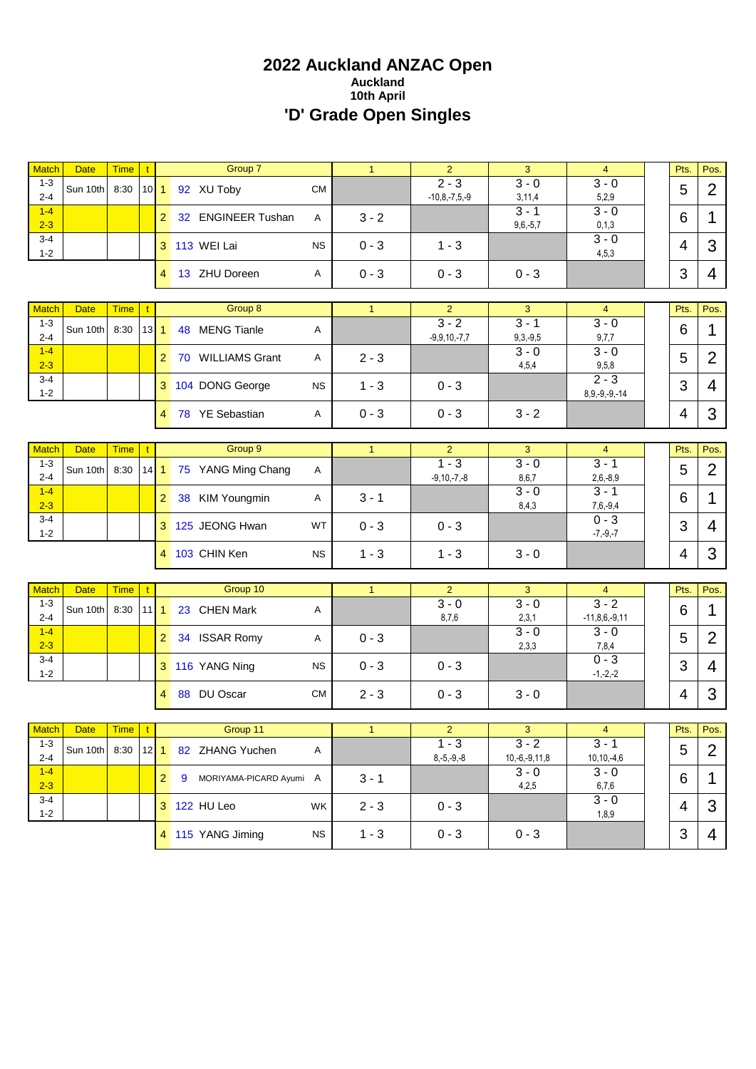# **2022 Auckland ANZAC Open Auckland 10th April 'D' Grade Open Singles**

| <b>Match</b>       | <b>Date</b> | <b>Time</b>  | $\mathbf{t}$ |                      | Group 7                   |           | $\mathbf{1}$ | $\overline{2}$            | 3                     | $\overline{4}$            | Pts.           | Pos.           |
|--------------------|-------------|--------------|--------------|----------------------|---------------------------|-----------|--------------|---------------------------|-----------------------|---------------------------|----------------|----------------|
| $1 - 3$            | Sun 10th    | 8:30         | $10$ 1       |                      | 92 XU Toby                | <b>CM</b> |              | $2 - 3$                   | $3 - 0$               | $3 - 0$                   | 5              | $\overline{2}$ |
| $2 - 4$            |             |              |              |                      |                           |           |              | $-10,8,-7,5,-9$           | 3,11,4                | 5,2,9                     |                |                |
| $1 - 4$            |             |              |              | $\mathbf{2}^{\circ}$ | 32 ENGINEER Tushan        | A         | $3 - 2$      |                           | $3 - 1$               | $3 - 0$                   | 6              | 1              |
| $2 - 3$<br>$3 - 4$ |             |              |              |                      |                           |           |              |                           | $9,6,-5,7$            | 0, 1, 3<br>$3 - 0$        |                |                |
| $1 - 2$            |             |              |              |                      | 3 113 WEI Lai             | <b>NS</b> | $0 - 3$      | $1 - 3$                   |                       | 4,5,3                     | $\overline{4}$ | 3              |
|                    |             |              |              | $\overline{4}$       | 13 ZHU Doreen             | Α         | $0 - 3$      | $0 - 3$                   | $0 - 3$               |                           | 3              | 4              |
|                    |             |              |              |                      |                           |           |              |                           |                       |                           |                |                |
| <b>Match</b>       | <b>Date</b> | <b>Time</b>  | $\mathbf{t}$ |                      | Group 8                   |           | $\mathbf{1}$ | $\overline{2}$            | 3                     | $\overline{4}$            | Pts.           | Pos.           |
| $1 - 3$            | Sun 10th    | 8:30         | $13$ 1       |                      | 48 MENG Tianle            | Α         |              | $3 - 2$                   | $3 - 1$               | $3 - 0$                   | 6              | $\mathbf{1}$   |
| $2 - 4$<br>$1 - 4$ |             |              |              |                      |                           |           |              | $-9,9,10,-7,7$            | $9,3,-9,5$<br>$3 - 0$ | 9,7,7<br>$3 - 0$          |                |                |
| $2 - 3$            |             |              |              | $\overline{2}$       | 70 WILLIAMS Grant         | Α         | $2 - 3$      |                           | 4,5,4                 | 9,5,8                     | 5              | $\overline{2}$ |
| $3 - 4$            |             |              |              |                      |                           |           |              | $0 - 3$                   |                       | $2 - 3$                   | 3              | $\overline{4}$ |
| $1 - 2$            |             |              |              |                      | 3 104 DONG George         | <b>NS</b> | $1 - 3$      |                           |                       | $8,9,-9,-9,-14$           |                |                |
|                    |             |              |              | $\overline{4}$       | 78 YE Sebastian           | Α         | $0 - 3$      | $0 - 3$                   | $3 - 2$               |                           | 4              | 3              |
|                    |             |              |              |                      |                           |           |              |                           |                       |                           |                |                |
| Match              | <b>Date</b> | <b>Time</b>  | $\mathbf{t}$ |                      | Group 9                   |           | $\mathbf{1}$ | $\overline{2}$            | 3                     | $\overline{4}$            | Pts.           | Pos.           |
| $1 - 3$            | Sun 10th    | 8:30         | $14$ 1       |                      | 75 YANG Ming Chang        | A         |              | $1 - 3$                   | $3 - 0$               | $3 - 1$                   | 5              | $\overline{2}$ |
| $2 - 4$            |             |              |              |                      |                           |           |              | $-9, 10, -7, -8$          | 8,6,7                 | $2,6,-8,9$                |                |                |
| $1 - 4$            |             |              |              | 2 <sup>2</sup>       | 38 KIM Youngmin           | Α         | $3 - 1$      |                           | $3 - 0$               | $3 - 1$                   | 6              | 1              |
| $2 - 3$<br>$3 - 4$ |             |              |              |                      |                           |           |              |                           | 8,4,3                 | $7,6,-9,4$<br>$0 - 3$     |                |                |
| $1 - 2$            |             |              |              |                      | 3 125 JEONG Hwan          | WT        | $0 - 3$      | $0 - 3$                   |                       | $-7, -9, -7$              | 3              | $\overline{4}$ |
|                    |             |              |              |                      | 4 103 CHIN Ken            | <b>NS</b> | $1 - 3$      | $1 - 3$                   | $3 - 0$               |                           | 4              | 3              |
|                    |             |              |              |                      |                           |           |              |                           |                       |                           |                |                |
| <b>Match</b>       | <b>Date</b> | <b>Time</b>  | $\mathbf{t}$ |                      | Group 10                  |           | $\mathbf{1}$ | $\overline{2}$            | 3                     | $\overline{4}$            | Pts.           | Pos.           |
| $1 - 3$            |             |              |              |                      |                           |           |              | $3 - 0$                   | $3 - 0$               | $\overline{3-2}$          |                |                |
| $2 - 4$            | Sun 10th    | 8:30         | $11$ 1       |                      | 23 CHEN Mark              | Α         |              | 8,7,6                     | 2,3,1                 | $-11,8,6,-9,11$           | 6              | 1              |
| $1 - 4$            |             |              |              | $\overline{2}$       | 34 ISSAR Romy             | Α         | $0 - 3$      |                           | $3 - 0$               | $3 - 0$                   | 5              | $\overline{2}$ |
| $2 - 3$            |             |              |              |                      |                           |           |              |                           | 2,3,3                 | 7,8,4                     |                |                |
| $3 - 4$<br>$1 - 2$ |             |              |              |                      | 3 116 YANG Ning           | <b>NS</b> | $0 - 3$      | $0 - 3$                   |                       | $0 - 3$<br>$-1,-2,-2$     | 3              | $\overline{4}$ |
|                    |             |              |              | 4                    | 88 DU Oscar               |           |              | $0 - 3$                   |                       |                           | $\overline{4}$ | 3              |
|                    |             |              |              |                      |                           | <b>CM</b> | $2 - 3$      |                           | $3 - 0$               |                           |                |                |
|                    |             |              |              |                      |                           |           |              |                           |                       |                           |                |                |
| Match<br>$1 - 3$   | Date        | Time         | $\mathbf{t}$ |                      | Group 11                  |           | $\mathbf{1}$ | $\overline{2}$<br>$1 - 3$ | 3<br>$3 - 2$          | $\overline{4}$<br>$3 - 1$ | Pts.           | Pos.           |
| $2 - 4$            | Sun 10th    | 8:30 $ 12$ 1 |              |                      | 82 ZHANG Yuchen           | A         |              | $8,-5,-9,-8$              | $10,-6,-9,11,8$       | $10, 10, -4, 6$           | 5              | $\overline{2}$ |
| $1 - 4$<br>$2 - 3$ |             |              |              | 2 <sup>1</sup>       | 9 MORIYAMA-PICARD Ayumi A |           | $3 - 1$      |                           | $3 - 0$<br>4,2,5      | $3 - 0$<br>6,7,6          | 6              | 1              |
| $3 - 4$            |             |              |              |                      |                           |           |              |                           |                       | $3 - 0$                   |                |                |
| $1 - 2$            |             |              |              |                      | 3 122 HU Leo              | WK        | $2 - 3$      | $0 - 3$                   |                       | 1,8,9                     | 4              | 3              |
|                    |             |              |              |                      | 4 115 YANG Jiming         | <b>NS</b> | $1 - 3$      | $0 - 3$                   | $0 - 3$               |                           | 3              | 4              |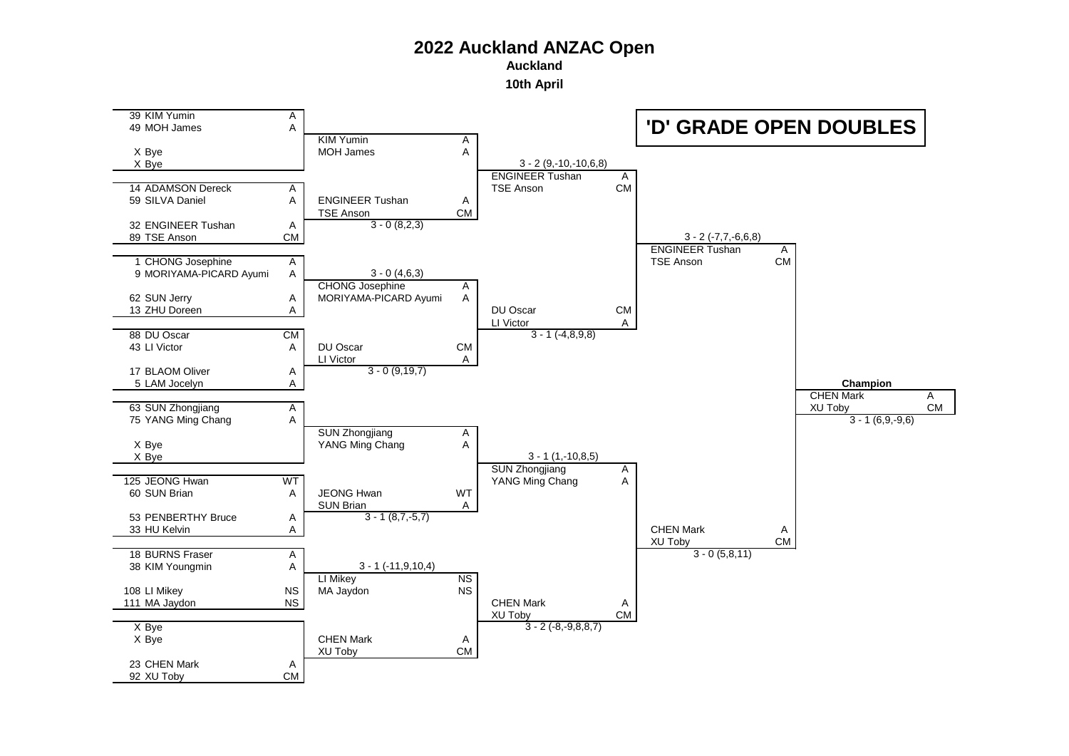**Auckland**

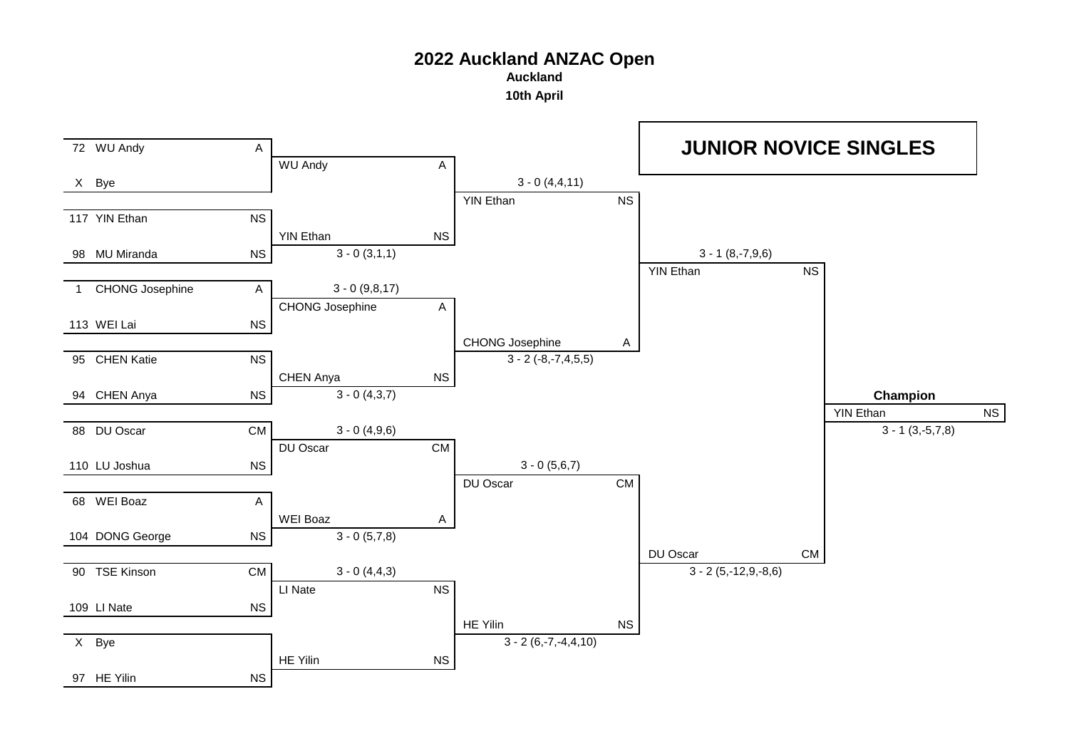**Auckland**

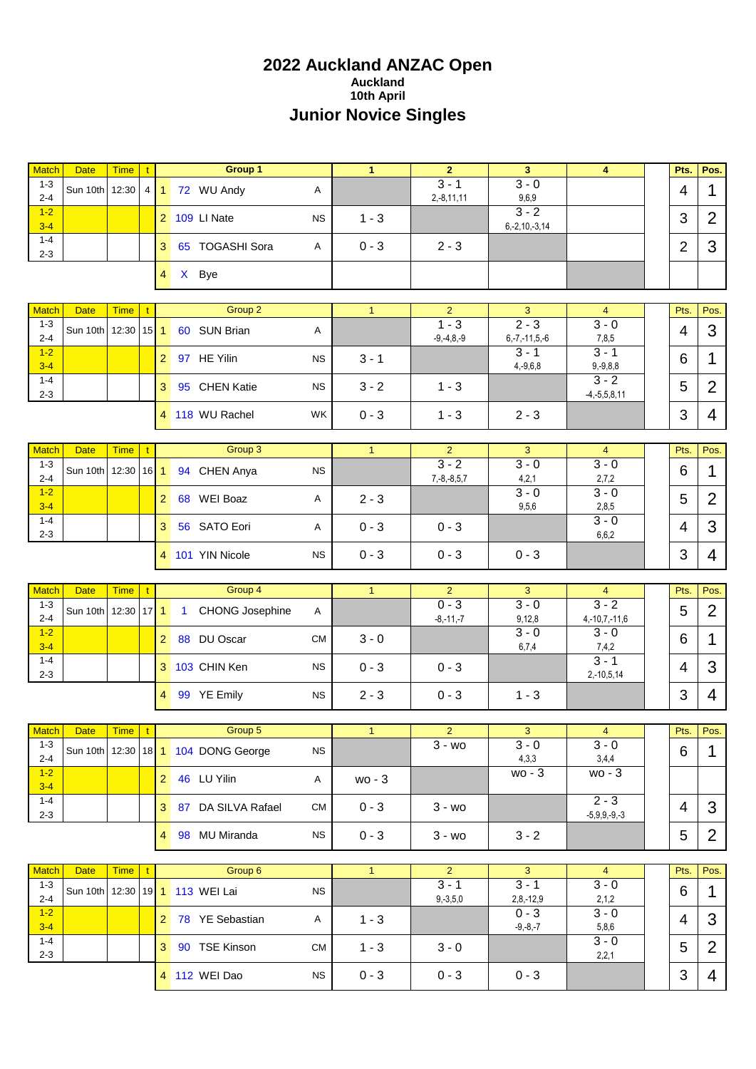# **2022 Auckland ANZAC Open Auckland 10th April Junior Novice Singles**

| <b>Match</b>            | <b>Date</b>    | <b>Time</b>                             | $\mathbf{t}$ |                | Group 1                             |           | $\mathbf{1}$ | $\overline{2}$           | 3                              | $\overline{4}$             | Pts.           | Pos.           |
|-------------------------|----------------|-----------------------------------------|--------------|----------------|-------------------------------------|-----------|--------------|--------------------------|--------------------------------|----------------------------|----------------|----------------|
| $1 - 3$<br>$2 - 4$      | Sun 10th 12:30 |                                         |              |                | 4 1 72 WU Andy                      | Α         |              | $3 - 1$<br>$2,-8,11,11$  | $3 - 0$<br>9,6,9               |                            | $\overline{4}$ | 1              |
| $1-2$<br>$3 - 4$        |                |                                         |              |                | 2 109 LI Nate                       | <b>NS</b> | $1 - 3$      |                          | $3 - 2$<br>$6, -2, 10, -3, 14$ |                            | 3              | $\overline{2}$ |
| $1 - 4$<br>$2 - 3$      |                |                                         |              | 3 <sup>1</sup> | 65 TOGASHI Sora                     | Α         | $0 - 3$      | $2 - 3$                  |                                |                            | $\overline{2}$ | 3              |
|                         |                |                                         |              | $\overline{4}$ | X Bye                               |           |              |                          |                                |                            |                |                |
|                         |                |                                         |              |                |                                     |           |              | 2 <sup>1</sup>           |                                |                            |                |                |
| <b>Match</b><br>$1 - 3$ | <b>Date</b>    | <b>Time</b>                             | $\mathbf{t}$ |                | Group 2                             |           | $\mathbf{1}$ | $1 - 3$                  | 3<br>$2 - 3$                   | $\overline{4}$<br>$3 - 0$  | Pts.           | Pos.           |
| $2 - 4$<br>$1-2$        | Sun 10th 12:30 |                                         | $15$   1     |                | 60 SUN Brian                        | Α         |              | $-9, -4, 8, -9$          | $6, -7, -11, 5, -6$<br>$3 - 1$ | 7,8,5<br>$3 - 1$           | $\overline{4}$ | 3              |
| $3-4$                   |                |                                         |              | 2 <sup>1</sup> | 97 HE Yilin                         | <b>NS</b> | $3 - 1$      |                          | $4, -9, 6, 8$                  | $9,-9,8,8$<br>$3 - 2$      | 6              | 1              |
| $1 - 4$<br>$2 - 3$      |                |                                         |              | 3 <sup>1</sup> | 95 CHEN Katie                       | <b>NS</b> | $3 - 2$      | $1 - 3$                  |                                | $-4, -5, 5, 8, 11$         | 5              | $\overline{2}$ |
|                         |                |                                         |              |                | 4 118 WU Rachel                     | <b>WK</b> | $0 - 3$      | $1 - 3$                  | $2 - 3$                        |                            | 3              | 4              |
| <b>Match</b>            | <b>Date</b>    | Time                                    | t.           |                | Group 3                             |           | $\mathbf{1}$ | $\overline{2}$           | 3                              | $\overline{4}$             | Pts.           | Pos.           |
| $1 - 3$<br>$2 - 4$      | Sun 10th 12:30 |                                         | $16$ 1       |                | 94 CHEN Anya                        | <b>NS</b> |              | $3 - 2$<br>$7,-8,-8,5,7$ | $3 - 0$<br>4,2,1               | $3 - 0$<br>2,7,2           | 6              | 1              |
| $1-2$<br>$3 - 4$        |                |                                         |              | 2 <sup>1</sup> | 68 WEI Boaz                         | Α         | $2 - 3$      |                          | $3 - 0$<br>9,5,6               | $3 - 0$<br>2,8,5           | 5              | $\overline{2}$ |
| $1 - 4$<br>$2 - 3$      |                |                                         |              | 3              | 56 SATO Eori                        | Α         | $0 - 3$      | $0 - 3$                  |                                | $3 - 0$<br>6,6,2           | 4              | 3              |
|                         |                |                                         |              |                | 4 101 YIN Nicole                    | <b>NS</b> | $0 - 3$      | $0 - 3$                  | $0 - 3$                        |                            | 3              | 4              |
|                         |                |                                         |              |                |                                     |           |              |                          |                                |                            |                |                |
| <b>Match</b>            | <b>Date</b>    | <b>Time</b>                             | $\mathbf{t}$ |                | Group 4                             |           | 1            | $\overline{2}$           | 3                              | $\overline{4}$             | Pts.           | Pos.           |
| $1 - 3$<br>$2 - 4$      | Sun 10th 12:30 |                                         | $17$   1     |                | <b>CHONG Josephine</b><br>$1 -$     | A         |              | $0 - 3$<br>$-8, -11, -7$ | $3 - 0$<br>9,12,8              | $3 - 2$<br>$4,-10,7,-11,6$ | 5              | $\overline{2}$ |
| $1-2$<br>$3-4$          |                |                                         |              | 2 <sup>1</sup> | 88 DU Oscar                         | <b>CM</b> | $3 - 0$      |                          | $3 - 0$<br>6,7,4               | $3 - 0$<br>7,4,2           | 6              | 1              |
| $1 - 4$<br>$2 - 3$      |                |                                         |              |                | 3 103 CHIN Ken                      | <b>NS</b> | $0 - 3$      | $0 - 3$                  |                                | $3 - 1$<br>$2,-10,5,14$    | 4              | 3              |
|                         |                |                                         |              | $\overline{4}$ | 99 YE Emily                         | <b>NS</b> | $2 - 3$      | $0 - 3$                  | $1 - 3$                        |                            | 3              | 4              |
| Match Date              |                | $\boxed{\mathsf{Time} \mid \mathsf{t}}$ |              |                | Group 5                             |           |              | $\mathbf{z}$             | 3                              | 4                          | Pts.           | Pos.           |
| $1 - 3$                 |                |                                         |              |                | Sun 10th 12:30 18 1 104 DONG George | <b>NS</b> |              | $3 - w0$                 | $3 - 0$                        | $3 - 0$                    | 6              | 1              |
| $2 - 4$<br>$1-2$        |                |                                         |              |                | 2 46 LU Yilin                       | A         |              |                          | 4,3,3<br>$wo - 3$              | 3,4,4<br>$wo - 3$          |                |                |
| $3 - 4$<br>$1 - 4$      |                |                                         |              |                |                                     |           | wo - 3       |                          |                                | $2 - 3$                    |                |                |
| $2 - 3$                 |                |                                         |              |                | 3 87 DA SILVA Rafael                | <b>CM</b> | $0 - 3$      | $3 - w0$                 |                                | $-5,9,9,-9,-3$             | 4              | 3              |
|                         |                |                                         |              |                | 4 98 MU Miranda                     | <b>NS</b> | $0 - 3$      | $3 - w0$                 | $3 - 2$                        |                            | 5              | $\overline{2}$ |
| <b>Match</b>            | <b>Date</b>    | Time   t                                |              |                | Group 6                             |           | 1            | $\overline{2}$           | $\overline{3}$                 | $\overline{4}$             | Pts.           | Pos.           |
| $1 - 3$<br>$2 - 4$      |                |                                         |              |                | Sun 10th 12:30 19 1 113 WEI Lai     | <b>NS</b> |              | $3 - 1$<br>$9, -3, 5, 0$ | $3 - 1$<br>$2,8,-12,9$         | $3 - 0$<br>2,1,2           | 6              | 1              |
| $1-2$<br>$3 - 4$        |                |                                         |              |                | 2 78 YE Sebastian                   | A         | $1 - 3$      |                          | $0 - 3$<br>$-9, -8, -7$        | $3 - 0$<br>5,8,6           | 4              | 3              |
|                         |                |                                         |              |                |                                     |           |              |                          |                                | $3 - 0$                    | 5              | $\overline{2}$ |
| $1 - 4$<br>$2 - 3$      |                |                                         |              |                | 3 90 TSE Kinson                     | <b>CM</b> | $1 - 3$      | $3 - 0$                  |                                | 2,2,1                      |                |                |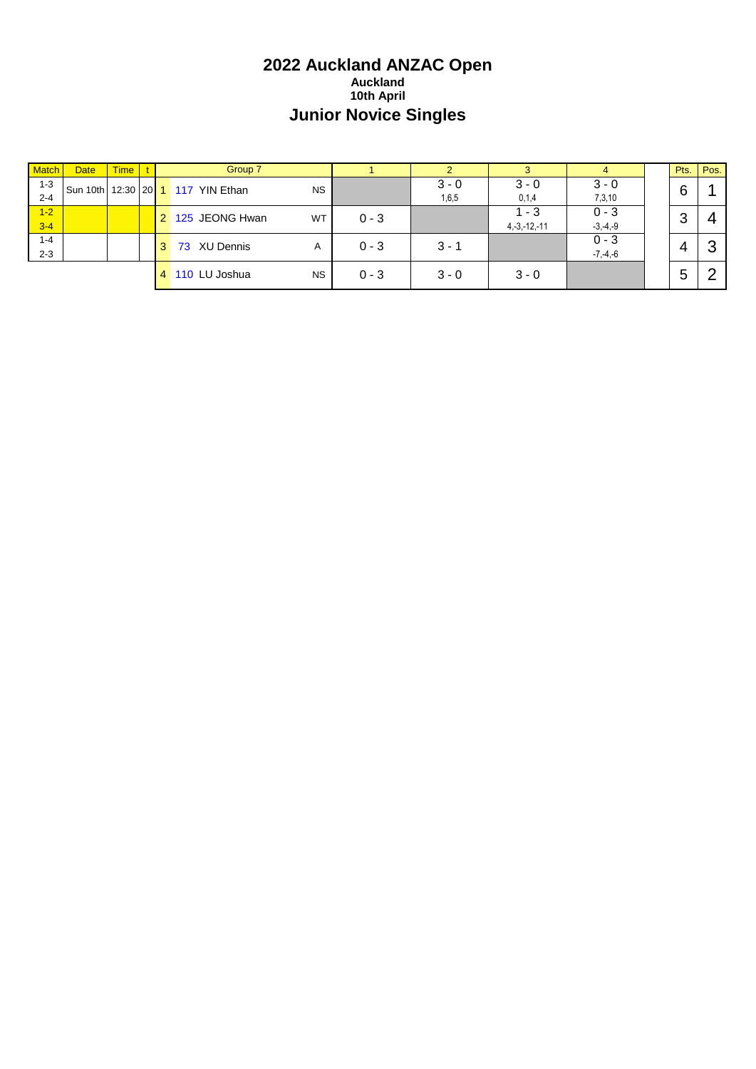# **2022 Auckland ANZAC Open Auckland 10th April Junior Novice Singles**

| <b>Match</b> | <b>Date</b> | <b>Time</b> |   | Group 7                  |           |         |         |                   | 4            | Pts. | Pos. |
|--------------|-------------|-------------|---|--------------------------|-----------|---------|---------|-------------------|--------------|------|------|
| $1 - 3$      | Sun 10th    |             |   | 12:30 20 1 117 YIN Ethan | <b>NS</b> |         | $3 - 0$ | $3 - 0$           | $3 - 0$      | 6    |      |
| $2 - 4$      |             |             |   |                          |           |         | 1,6,5   | 0,1,4             | 7,3,10       |      |      |
| $1-2$        |             |             |   | 2 125 JEONG Hwan         | WT        | $0 - 3$ |         | 1 - 3             | $0 - 3$      | 3    |      |
| $3-4$        |             |             |   |                          |           |         |         | $4, -3, -12, -11$ | $-3, -4, -9$ |      | 4    |
| $1 - 4$      |             |             |   | 73 XU Dennis             | A         | $0 - 3$ | $3 - 1$ |                   | $0 - 3$      |      | റ    |
| $2 - 3$      |             |             |   |                          |           |         |         |                   | $-7, -4, -6$ |      | C۰   |
|              |             |             | 4 | 110 LU Joshua            | <b>NS</b> | $0 - 3$ | $3 - 0$ | $3 - 0$           |              | 5    | ⌒    |